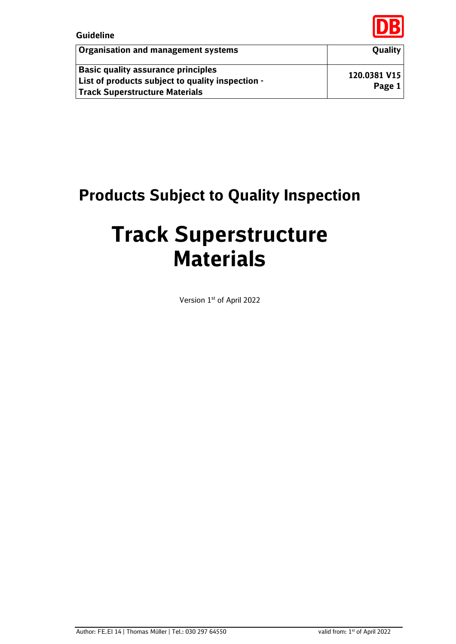

| Organisation and management systems                                                                                      | <b>Quality</b>         |
|--------------------------------------------------------------------------------------------------------------------------|------------------------|
| Basic quality assurance principles<br>List of products subject to quality inspection -<br>Track Superstructure Materials | 120.0381 V15<br>Page 1 |

# **Products Subject to Quality Inspection**

# **Track Superstructure Materials**

Version 1st of April 2022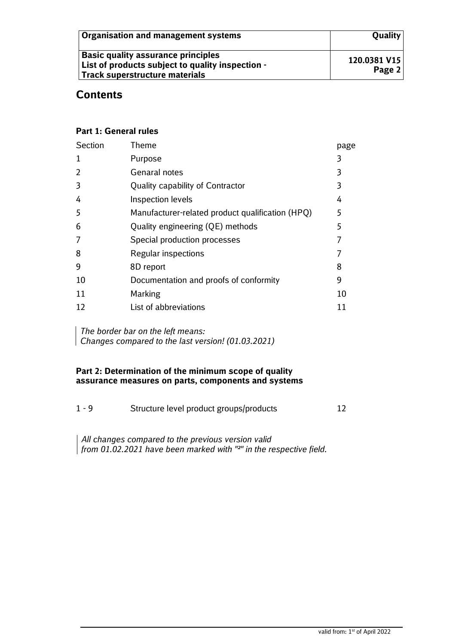| Organisation and management systems                                                                                      | <b>Quality</b>         |
|--------------------------------------------------------------------------------------------------------------------------|------------------------|
| Basic quality assurance principles<br>List of products subject to quality inspection -<br>Track superstructure materials | 120.0381 V15<br>Page 2 |

# **Contents**

#### **Part 1: General rules**

| Section | Theme                                            | page |
|---------|--------------------------------------------------|------|
| 1       | Purpose                                          | 3    |
| 2       | <b>Genaral notes</b>                             | 3    |
| 3       | Quality capability of Contractor                 | 3    |
| 4       | Inspection levels                                | 4    |
| 5       | Manufacturer-related product qualification (HPQ) | 5    |
| 6       | Quality engineering (QE) methods                 | 5    |
| 7       | Special production processes                     |      |
| 8       | Regular inspections                              |      |
| 9       | 8D report                                        | 8    |
| 10      | Documentation and proofs of conformity           | 9    |
| 11      | Marking                                          | 10   |
| 12      | List of abbreviations                            |      |
|         |                                                  |      |

*The border bar on the left means: Changes compared to the last version! (01.03.2021)*

#### **Part 2: Determination of the minimum scope of quality assurance measures on parts, components and systems**

| $1 - 9$ | Structure level product groups/products |  |
|---------|-----------------------------------------|--|
|         |                                         |  |

*All changes compared to the previous version valid from 01.02.2021 have been marked with "²" in the respective field.*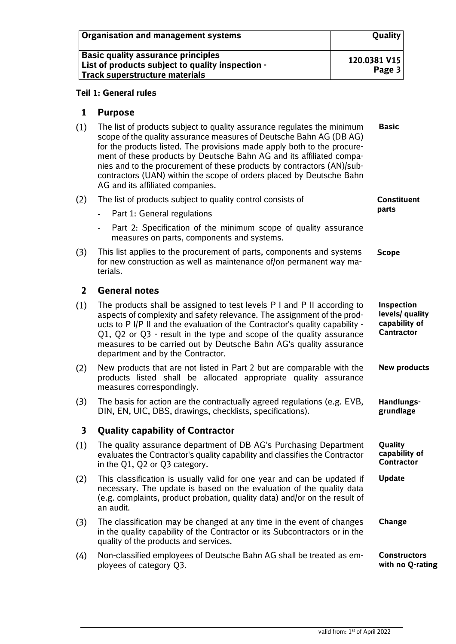| Organisation and management systems                                                                                      | <b>Quality</b>           |
|--------------------------------------------------------------------------------------------------------------------------|--------------------------|
| Basic quality assurance principles<br>List of products subject to quality inspection -<br>Track superstructure materials | 120.0381 V15<br>Page $3$ |

#### **Teil 1: General rules**

#### **1 Purpose**

 $(1)$ The list of products subject to quality assurance regulates the minimum **Basic** scope of the quality assurance measures of Deutsche Bahn AG (DB AG) for the products listed. The provisions made apply both to the procurement of these products by Deutsche Bahn AG and its affiliated companies and to the procurement of these products by contractors (AN)/subcontractors (UAN) within the scope of orders placed by Deutsche Bahn AG and its affiliated companies.

| (2)                     | The list of products subject to quality control consists of                                                                                                                                                                                                                                                                                                                                                           | <b>Constituent</b>                                                         |
|-------------------------|-----------------------------------------------------------------------------------------------------------------------------------------------------------------------------------------------------------------------------------------------------------------------------------------------------------------------------------------------------------------------------------------------------------------------|----------------------------------------------------------------------------|
|                         | Part 1: General regulations                                                                                                                                                                                                                                                                                                                                                                                           | parts                                                                      |
|                         | Part 2: Specification of the minimum scope of quality assurance<br>measures on parts, components and systems.                                                                                                                                                                                                                                                                                                         |                                                                            |
| (3)                     | This list applies to the procurement of parts, components and systems<br>for new construction as well as maintenance of/on permanent way ma-<br>terials.                                                                                                                                                                                                                                                              | <b>Scope</b>                                                               |
| $\overline{2}$          | <b>General notes</b>                                                                                                                                                                                                                                                                                                                                                                                                  |                                                                            |
| (1)                     | The products shall be assigned to test levels P I and P II according to<br>aspects of complexity and safety relevance. The assignment of the prod-<br>ucts to P I/P II and the evaluation of the Contractor's quality capability -<br>Q1, Q2 or Q3 - result in the type and scope of the quality assurance<br>measures to be carried out by Deutsche Bahn AG's quality assurance<br>department and by the Contractor. | <b>Inspection</b><br>levels/ quality<br>capability of<br><b>Cantractor</b> |
| (2)                     | New products that are not listed in Part 2 but are comparable with the<br>products listed shall be allocated appropriate quality assurance<br>measures correspondingly.                                                                                                                                                                                                                                               | <b>New products</b>                                                        |
| (3)                     | The basis for action are the contractually agreed regulations (e.g. EVB,<br>DIN, EN, UIC, DBS, drawings, checklists, specifications).                                                                                                                                                                                                                                                                                 | Handlungs-<br>grundlage                                                    |
| $\overline{\mathbf{3}}$ | <b>Quality capability of Contractor</b>                                                                                                                                                                                                                                                                                                                                                                               |                                                                            |
| (1)                     | The quality assurance department of DB AG's Purchasing Department<br>evaluates the Contractor's quality capability and classifies the Contractor<br>in the Q1, Q2 or Q3 category.                                                                                                                                                                                                                                     | Quality<br>capability of<br><b>Contractor</b>                              |
| (2)                     | This classification is usually valid for one year and can be updated if<br>necessary. The update is based on the evaluation of the quality data<br>(e.g. complaints, product probation, quality data) and/or on the result of<br>an audit.                                                                                                                                                                            | <b>Update</b>                                                              |
| (3)                     | The classification may be changed at any time in the event of changes<br>in the quality capability of the Contractor or its Subcontractors or in the<br>quality of the products and services.                                                                                                                                                                                                                         | <b>Change</b>                                                              |
| (4)                     | Non-classified employees of Deutsche Bahn AG shall be treated as em-<br>ployees of category Q3.                                                                                                                                                                                                                                                                                                                       | <b>Constructors</b><br>with no Q-rating                                    |
|                         |                                                                                                                                                                                                                                                                                                                                                                                                                       |                                                                            |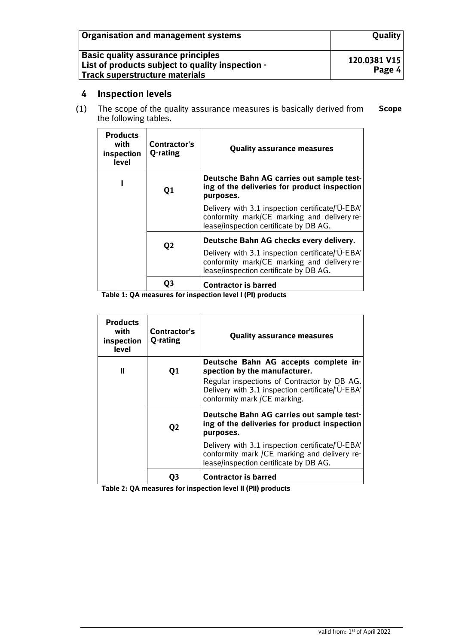| Organisation and management systems                                                                                                    | <b>Quality</b>         |
|----------------------------------------------------------------------------------------------------------------------------------------|------------------------|
| <b>Basic quality assurance principles</b><br>List of products subject to quality inspection -<br><b>Track superstructure materials</b> | 120.0381 V15<br>Page 4 |

### **4 Inspection levels**

 $(1)$ The scope of the quality assurance measures is basically derived from **Scope**the following tables.

| <b>Products</b><br>with<br>inspection<br>level | Contractor's<br>Q-rating | <b>Quality assurance measures</b>                                                                                                         |
|------------------------------------------------|--------------------------|-------------------------------------------------------------------------------------------------------------------------------------------|
|                                                | Q1                       | Deutsche Bahn AG carries out sample test-<br>ing of the deliveries for product inspection<br>purposes.                                    |
|                                                |                          | Delivery with 3.1 inspection certificate/'Ü-EBA'<br>conformity mark/CE marking and delivery re-<br>lease/inspection certificate by DB AG. |
|                                                | Q <sub>2</sub>           | Deutsche Bahn AG checks every delivery.                                                                                                   |
|                                                |                          | Delivery with 3.1 inspection certificate/'Ü-EBA'<br>conformity mark/CE marking and delivery re-<br>lease/inspection certificate by DB AG. |
|                                                |                          | <b>Contractor is barred</b>                                                                                                               |

 **Table 1: QA measures for inspection level I (PI) products**

| <b>Products</b><br>with<br>inspection<br>level | Contractor's<br>Q-rating | Quality assurance measures                                                                                                                                                                                |
|------------------------------------------------|--------------------------|-----------------------------------------------------------------------------------------------------------------------------------------------------------------------------------------------------------|
| Ш                                              | Q1                       | Deutsche Bahn AG accepts complete in-<br>spection by the manufacturer.<br>Regular inspections of Contractor by DB AG.<br>Delivery with 3.1 inspection certificate/'Ü-EBA'<br>conformity mark /CE marking. |
|                                                | Q <sub>2</sub>           | Deutsche Bahn AG carries out sample test-<br>ing of the deliveries for product inspection<br>purposes.                                                                                                    |
|                                                |                          | Delivery with 3.1 inspection certificate/'Ü-EBA'<br>conformity mark /CE marking and delivery re-<br>lease/inspection certificate by DB AG.                                                                |
|                                                |                          | <b>Contractor is barred</b>                                                                                                                                                                               |

 **Table 2: QA measures for inspection level II (PII) products**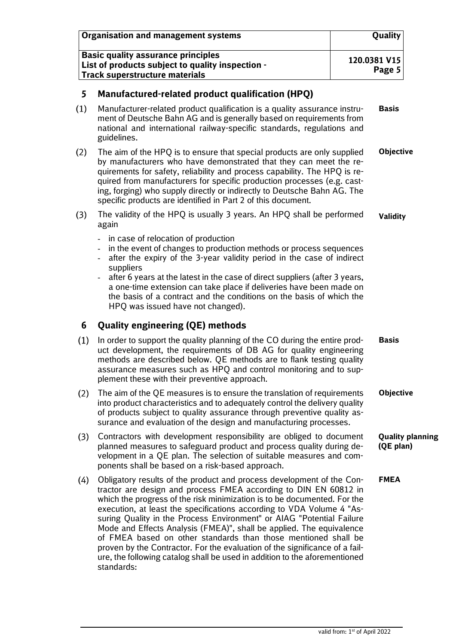|     | <b>Organisation and management systems</b>                                                                                                                                                                                                                                                                                                                                                                                                                                                                                                                                                                                                                                                   | Quality                              |  |
|-----|----------------------------------------------------------------------------------------------------------------------------------------------------------------------------------------------------------------------------------------------------------------------------------------------------------------------------------------------------------------------------------------------------------------------------------------------------------------------------------------------------------------------------------------------------------------------------------------------------------------------------------------------------------------------------------------------|--------------------------------------|--|
|     | <b>Basic quality assurance principles</b><br>List of products subject to quality inspection -<br><b>Track superstructure materials</b>                                                                                                                                                                                                                                                                                                                                                                                                                                                                                                                                                       | 120.0381 V15<br>Page 5               |  |
| 5   | Manufactured-related product qualification (HPQ)                                                                                                                                                                                                                                                                                                                                                                                                                                                                                                                                                                                                                                             |                                      |  |
| (1) | Manufacturer-related product qualification is a quality assurance instru-<br>ment of Deutsche Bahn AG and is generally based on requirements from<br>national and international railway-specific standards, regulations and<br>guidelines.                                                                                                                                                                                                                                                                                                                                                                                                                                                   | <b>Basis</b>                         |  |
| (2) | The aim of the HPQ is to ensure that special products are only supplied<br>by manufacturers who have demonstrated that they can meet the re-<br>quirements for safety, reliability and process capability. The HPQ is re-<br>quired from manufacturers for specific production processes (e.g. cast-<br>ing, forging) who supply directly or indirectly to Deutsche Bahn AG. The<br>specific products are identified in Part 2 of this document.                                                                                                                                                                                                                                             | <b>Objective</b>                     |  |
| (3) | The validity of the HPQ is usually 3 years. An HPQ shall be performed<br>again                                                                                                                                                                                                                                                                                                                                                                                                                                                                                                                                                                                                               | <b>Validity</b>                      |  |
|     | in case of relocation of production<br>in the event of changes to production methods or process sequences<br>after the expiry of the 3-year validity period in the case of indirect<br>suppliers<br>after 6 years at the latest in the case of direct suppliers (after 3 years,<br>a one-time extension can take place if deliveries have been made on<br>the basis of a contract and the conditions on the basis of which the<br>HPQ was issued have not changed).                                                                                                                                                                                                                          |                                      |  |
| 6   | <b>Quality engineering (QE) methods</b>                                                                                                                                                                                                                                                                                                                                                                                                                                                                                                                                                                                                                                                      |                                      |  |
| (1) | In order to support the quality planning of the CO during the entire prod-<br>uct development, the requirements of DB AG for quality engineering<br>methods are described below. QE methods are to flank testing quality<br>assurance measures such as HPQ and control monitoring and to sup-<br>plement these with their preventive approach.                                                                                                                                                                                                                                                                                                                                               | <b>Basis</b>                         |  |
| (2) | The aim of the QE measures is to ensure the translation of requirements<br>into product characteristics and to adequately control the delivery quality<br>of products subject to quality assurance through preventive quality as-<br>surance and evaluation of the design and manufacturing processes.                                                                                                                                                                                                                                                                                                                                                                                       | <b>Objective</b>                     |  |
| (3) | Contractors with development responsibility are obliged to document<br>planned measures to safeguard product and process quality during de-<br>velopment in a QE plan. The selection of suitable measures and com-<br>ponents shall be based on a risk-based approach.                                                                                                                                                                                                                                                                                                                                                                                                                       | <b>Quality planning</b><br>(QE plan) |  |
| (4) | Obligatory results of the product and process development of the Con-<br>tractor are design and process FMEA according to DIN EN 60812 in<br>which the progress of the risk minimization is to be documented. For the<br>execution, at least the specifications according to VDA Volume 4 "As-<br>suring Quality in the Process Environment" or AIAG "Potential Failure<br>Mode and Effects Analysis (FMEA)", shall be applied. The equivalence<br>of FMEA based on other standards than those mentioned shall be<br>proven by the Contractor. For the evaluation of the significance of a fail-<br>ure, the following catalog shall be used in addition to the aforementioned<br>standards: | <b>FMEA</b>                          |  |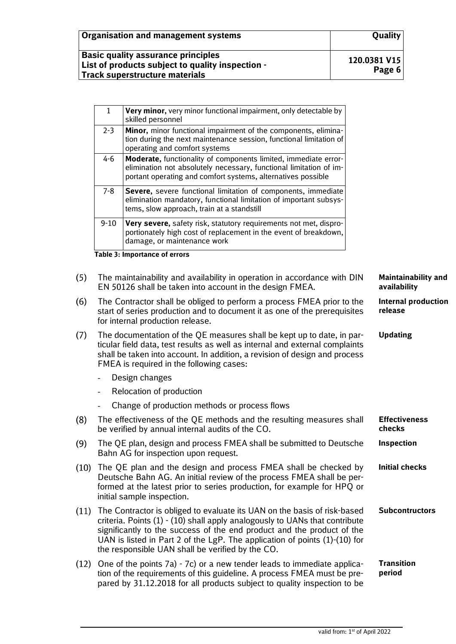| <b>Organisation and management systems</b>                                                                                      | <b>Quality</b>         |
|---------------------------------------------------------------------------------------------------------------------------------|------------------------|
| <b>Basic quality assurance principles</b><br>List of products subject to quality inspection -<br>Track superstructure materials | 120.0381 V15<br>Page 6 |

|      | $\mathbf{1}$                                                                                                                                                                            | Very minor, very minor functional impairment, only detectable by<br>skilled personnel                                                                                                                                                                                            |                                            |
|------|-----------------------------------------------------------------------------------------------------------------------------------------------------------------------------------------|----------------------------------------------------------------------------------------------------------------------------------------------------------------------------------------------------------------------------------------------------------------------------------|--------------------------------------------|
|      | $2 - 3$                                                                                                                                                                                 | Minor, minor functional impairment of the components, elimina-<br>tion during the next maintenance session, functional limitation of<br>operating and comfort systems                                                                                                            |                                            |
|      | $4 - 6$                                                                                                                                                                                 | Moderate, functionality of components limited, immediate error-<br>elimination not absolutely necessary, functional limitation of im-<br>portant operating and comfort systems, alternatives possible                                                                            |                                            |
|      | $7 - 8$                                                                                                                                                                                 | Severe, severe functional limitation of components, immediate<br>elimination mandatory, functional limitation of important subsys-<br>tems, slow approach, train at a standstill                                                                                                 |                                            |
|      | $9 - 10$                                                                                                                                                                                | Very severe, safety risk, statutory requirements not met, dispro-<br>portionately high cost of replacement in the event of breakdown,<br>damage, or maintenance work                                                                                                             |                                            |
|      |                                                                                                                                                                                         | <b>Table 3: Importance of errors</b>                                                                                                                                                                                                                                             |                                            |
| (5)  |                                                                                                                                                                                         | The maintainability and availability in operation in accordance with DIN<br>EN 50126 shall be taken into account in the design FMEA.                                                                                                                                             | <b>Maintainability and</b><br>availability |
| (6)  | The Contractor shall be obliged to perform a process FMEA prior to the<br>start of series production and to document it as one of the prerequisites<br>for internal production release. |                                                                                                                                                                                                                                                                                  | <b>Internal production</b><br>release      |
| (7)  |                                                                                                                                                                                         | The documentation of the QE measures shall be kept up to date, in par-<br>ticular field data, test results as well as internal and external complaints<br>shall be taken into account. In addition, a revision of design and process<br>FMEA is required in the following cases: | <b>Updating</b>                            |
|      |                                                                                                                                                                                         | Design changes                                                                                                                                                                                                                                                                   |                                            |
|      |                                                                                                                                                                                         | Relocation of production                                                                                                                                                                                                                                                         |                                            |
|      |                                                                                                                                                                                         | Change of production methods or process flows                                                                                                                                                                                                                                    |                                            |
| (8)  |                                                                                                                                                                                         | The effectiveness of the QE methods and the resulting measures shall<br>be verified by annual internal audits of the CO.                                                                                                                                                         | <b>Effectiveness</b><br>checks             |
| (9)  |                                                                                                                                                                                         | The QE plan, design and process FMEA shall be submitted to Deutsche<br>Bahn AG for inspection upon request.                                                                                                                                                                      | <b>Inspection</b>                          |
| (10) |                                                                                                                                                                                         | The QE plan and the design and process FMEA shall be checked by<br>$\blacksquare$<br>the contract of the contract of the contract of the contract of the contract of the contract of the contract of                                                                             | <b>Initial checks</b>                      |

- $(1)$ Deutsche Bahn AG. An initial review of the process FMEA shall be performed at the latest prior to series production, for example for HPQ or initial sample inspection.
- (11) The Contractor is obliged to evaluate its UAN on the basis of risk-based criteria. Points (1) - (10) shall apply analogously to UANs that contribute significantly to the success of the end product and the product of the UAN is listed in Part 2 of the LgP. The application of points (1)-(10) for the responsible UAN shall be verified by the CO. **Subcontructors**
- $(12)$  One of the points 7a) 7c) or a new tender leads to immediate application of the requirements of this guideline. A process FMEA must be prepared by 31.12.2018 for all products subject to quality inspection to be **Transition period**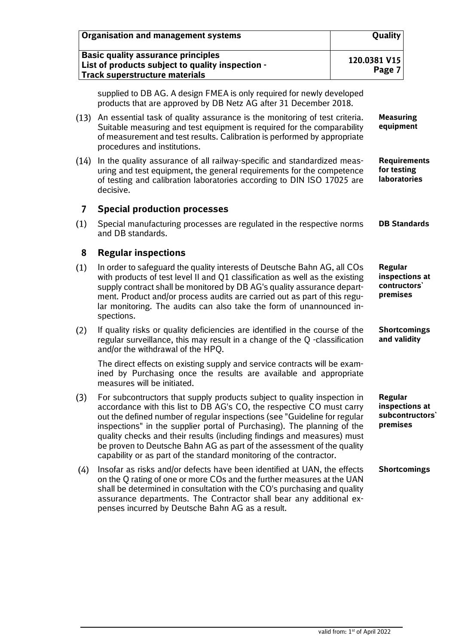|                | <b>Organisation and management systems</b>                                                                                                                                                                                                                                                                                                                                                                                                                                                                                            | Quality                                                         |
|----------------|---------------------------------------------------------------------------------------------------------------------------------------------------------------------------------------------------------------------------------------------------------------------------------------------------------------------------------------------------------------------------------------------------------------------------------------------------------------------------------------------------------------------------------------|-----------------------------------------------------------------|
|                | <b>Basic quality assurance principles</b><br>List of products subject to quality inspection -<br><b>Track superstructure materials</b>                                                                                                                                                                                                                                                                                                                                                                                                | 120.0381 V15<br>Page 7                                          |
|                | supplied to DB AG. A design FMEA is only required for newly developed<br>products that are approved by DB Netz AG after 31 December 2018.                                                                                                                                                                                                                                                                                                                                                                                             |                                                                 |
| (13)           | An essential task of quality assurance is the monitoring of test criteria.<br>Suitable measuring and test equipment is required for the comparability<br>of measurement and test results. Calibration is performed by appropriate<br>procedures and institutions.                                                                                                                                                                                                                                                                     | <b>Measuring</b><br>equipment                                   |
| (14)           | In the quality assurance of all railway-specific and standardized meas-<br>uring and test equipment, the general requirements for the competence<br>of testing and calibration laboratories according to DIN ISO 17025 are<br>decisive.                                                                                                                                                                                                                                                                                               | <b>Requirements</b><br>for testing<br><b>laboratories</b>       |
| $\overline{7}$ | <b>Special production processes</b>                                                                                                                                                                                                                                                                                                                                                                                                                                                                                                   |                                                                 |
| (1)            | Special manufacturing processes are regulated in the respective norms<br>and DB standards.                                                                                                                                                                                                                                                                                                                                                                                                                                            | <b>DB Standards</b>                                             |
| 8              | <b>Regular inspections</b>                                                                                                                                                                                                                                                                                                                                                                                                                                                                                                            |                                                                 |
| (1)            | In order to safeguard the quality interests of Deutsche Bahn AG, all COs<br>with products of test level II and Q1 classification as well as the existing<br>supply contract shall be monitored by DB AG's quality assurance depart-<br>ment. Product and/or process audits are carried out as part of this regu-<br>lar monitoring. The audits can also take the form of unannounced in-<br>spections.                                                                                                                                | <b>Regular</b><br>inspections at<br>contructors'<br>premises    |
| (2)            | If quality risks or quality deficiencies are identified in the course of the<br>regular surveillance, this may result in a change of the Q-classification<br>and/or the withdrawal of the HPQ.                                                                                                                                                                                                                                                                                                                                        | <b>Shortcomings</b><br>and validity                             |
|                | The direct effects on existing supply and service contracts will be exam-<br>ined by Purchasing once the results are available and appropriate<br>measures will be initiated.                                                                                                                                                                                                                                                                                                                                                         |                                                                 |
| (3)            | For subcontructors that supply products subject to quality inspection in<br>accordance with this list to DB AG's CO, the respective CO must carry<br>out the defined number of regular inspections (see "Guideline for regular<br>inspections" in the supplier portal of Purchasing). The planning of the<br>quality checks and their results (including findings and measures) must<br>be proven to Deutsche Bahn AG as part of the assessment of the quality<br>capability or as part of the standard monitoring of the contractor. | <b>Regular</b><br>inspections at<br>subcontructors'<br>premises |
| (4)            | Insofar as risks and/or defects have been identified at UAN, the effects<br>on the Q rating of one or more COs and the further measures at the UAN<br>shall be determined in consultation with the CO's purchasing and quality<br>assurance departments. The Contractor shall bear any additional ex-<br>penses incurred by Deutsche Bahn AG as a result.                                                                                                                                                                             | <b>Shortcomings</b>                                             |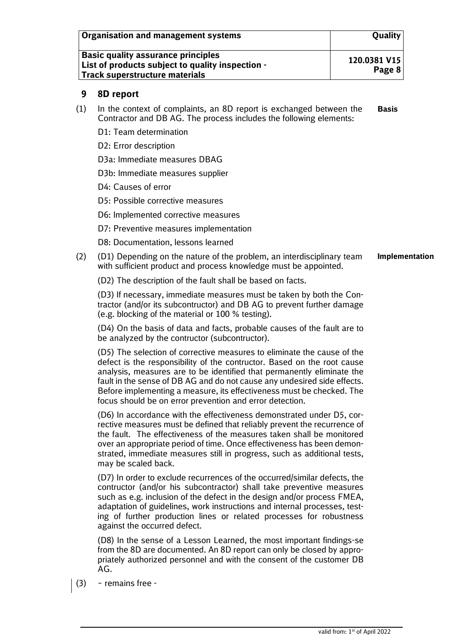| <b>Organisation and management systems</b>                                                                                             | <b>Quality</b>           |
|----------------------------------------------------------------------------------------------------------------------------------------|--------------------------|
| <b>Basic quality assurance principles</b><br>List of products subject to quality inspection -<br><b>Track superstructure materials</b> | 120.0381 V15<br>Page $8$ |

#### **9 8D report**

- (1) In the context of complaints, an 8D report is exchanged between the Contractor and DB AG. The process includes the following elements: **Basis**
	- D1: Team determination
	- D2: Error description
	- D3a: Immediate measures DBAG
	- D3b: Immediate measures supplier
	- D4: Causes of error
	- D5: Possible corrective measures
	- D6: Implemented corrective measures
	- D7: Preventive measures implementation
	- D8: Documentation, lessons learned
- (2) (D1) Depending on the nature of the problem, an interdisciplinary team with sufficient product and process knowledge must be appointed. **Implementation**
	- (D2) The description of the fault shall be based on facts.

(D3) If necessary, immediate measures must be taken by both the Contractor (and/or its subcontructor) and DB AG to prevent further damage (e.g. blocking of the material or 100 % testing).

(D4) On the basis of data and facts, probable causes of the fault are to be analyzed by the contructor (subcontructor).

(D5) The selection of corrective measures to eliminate the cause of the defect is the responsibility of the contructor. Based on the root cause analysis, measures are to be identified that permanently eliminate the fault in the sense of DB AG and do not cause any undesired side effects. Before implementing a measure, its effectiveness must be checked. The focus should be on error prevention and error detection.

(D6) In accordance with the effectiveness demonstrated under D5, corrective measures must be defined that reliably prevent the recurrence of the fault. The effectiveness of the measures taken shall be monitored over an appropriate period of time. Once effectiveness has been demonstrated, immediate measures still in progress, such as additional tests, may be scaled back.

(D7) In order to exclude recurrences of the occurred/similar defects, the contructor (and/or his subcontractor) shall take preventive measures such as e.g. inclusion of the defect in the design and/or process FMEA, adaptation of guidelines, work instructions and internal processes, testing of further production lines or related processes for robustness against the occurred defect.

(D8) In the sense of a Lesson Learned, the most important findings-se from the 8D are documented. An 8D report can only be closed by appropriately authorized personnel and with the consent of the customer DB AG.

(3) – remains free -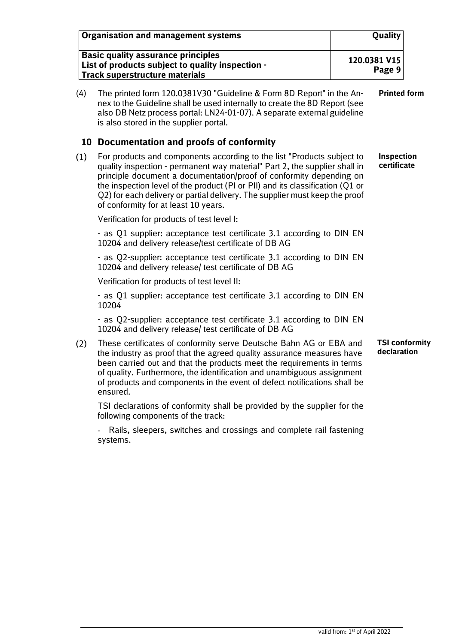|     | <b>Organisation and management systems</b>                                                                                                                                                                                                                                                                                                                                                                                          | Quality                          |                       |
|-----|-------------------------------------------------------------------------------------------------------------------------------------------------------------------------------------------------------------------------------------------------------------------------------------------------------------------------------------------------------------------------------------------------------------------------------------|----------------------------------|-----------------------|
|     | <b>Basic quality assurance principles</b><br>List of products subject to quality inspection -<br><b>Track superstructure materials</b>                                                                                                                                                                                                                                                                                              | 120.0381 V15<br>Page 9           |                       |
| (4) | The printed form 120.0381V30 "Guideline & Form 8D Report" in the An-<br>nex to the Guideline shall be used internally to create the 8D Report (see<br>also DB Netz process portal: LN24-01-07). A separate external guideline<br>is also stored in the supplier portal.                                                                                                                                                             |                                  | <b>Printed form</b>   |
|     | 10 Documentation and proofs of conformity                                                                                                                                                                                                                                                                                                                                                                                           |                                  |                       |
| (1) | For products and components according to the list "Products subject to<br>quality inspection - permanent way material" Part 2, the supplier shall in<br>principle document a documentation/proof of conformity depending on<br>the inspection level of the product (PI or PII) and its classification (Q1 or<br>Q2) for each delivery or partial delivery. The supplier must keep the proof<br>of conformity for at least 10 years. | <b>Inspection</b><br>certificate |                       |
|     | Verification for products of test level I:                                                                                                                                                                                                                                                                                                                                                                                          |                                  |                       |
|     | - as Q1 supplier: acceptance test certificate 3.1 according to DIN EN<br>10204 and delivery release/test certificate of DB AG                                                                                                                                                                                                                                                                                                       |                                  |                       |
|     | - as Q2-supplier: acceptance test certificate 3.1 according to DIN EN<br>10204 and delivery release/ test certificate of DB AG                                                                                                                                                                                                                                                                                                      |                                  |                       |
|     | Verification for products of test level II:                                                                                                                                                                                                                                                                                                                                                                                         |                                  |                       |
|     | - as Q1 supplier: acceptance test certificate 3.1 according to DIN EN<br>10204                                                                                                                                                                                                                                                                                                                                                      |                                  |                       |
|     | - as Q2-supplier: acceptance test certificate 3.1 according to DIN EN<br>10204 and delivery release/ test certificate of DB AG                                                                                                                                                                                                                                                                                                      |                                  |                       |
| (2) | These certificates of conformity serve Deutsche Bahn AG or EBA and<br>the industry as proof that the agreed quality assurance measures have<br>been carried out and that the products meet the requirements in terms<br>of quality. Furthermore, the identification and unambiguous assignment<br>of products and components in the event of defect notifications shall be<br>ensured.                                              | declaration                      | <b>TSI conformity</b> |
|     | TSI declarations of conformity shall be provided by the supplier for the<br>following components of the track:                                                                                                                                                                                                                                                                                                                      |                                  |                       |
|     | Rails, sleepers, switches and crossings and complete rail fastening<br>systems.                                                                                                                                                                                                                                                                                                                                                     |                                  |                       |
|     |                                                                                                                                                                                                                                                                                                                                                                                                                                     |                                  |                       |
|     |                                                                                                                                                                                                                                                                                                                                                                                                                                     |                                  |                       |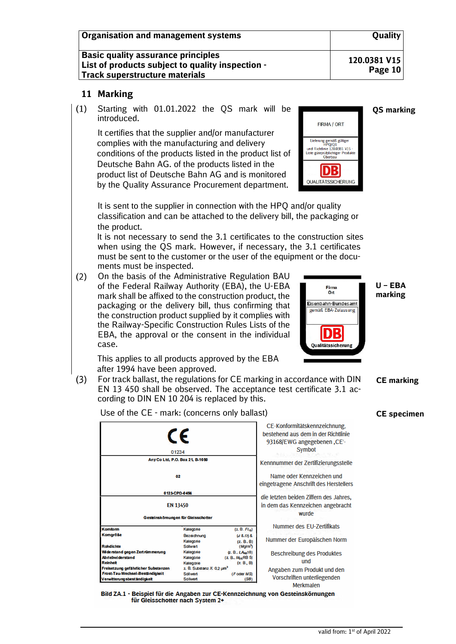| Organisation and management systems                                                                                                    | <b>Quality</b>          |
|----------------------------------------------------------------------------------------------------------------------------------------|-------------------------|
| <b>Basic quality assurance principles</b><br>List of products subject to quality inspection -<br><b>Track superstructure materials</b> | 120.0381 V15<br>Page 10 |

#### **11 Marking**

 $(1)$ Starting with 01.01.2022 the QS mark will be introduced.

It certifies that the supplier and/or manufacturer complies with the manufacturing and delivery conditions of the products listed in the product list of Deutsche Bahn AG. of the products listed in the product list of Deutsche Bahn AG and is monitored by the Quality Assurance Procurement department.



Firma<br>Ort Eisenbahn-Bundesamt gemäß EBA-Zulassung

DB Qualitätssicherung

It is sent to the supplier in connection with the HPQ and/or quality classification and can be attached to the delivery bill, the packaging or the product.

 It is not necessary to send the 3.1 certificates to the construction sites when using the QS mark. However, if necessary, the 3.1 certificates must be sent to the customer or the user of the equipment or the documents must be inspected.

 $(2)$ On the basis of the Administrative Regulation BAU of the Federal Railway Authority (EBA), the U-EBA mark shall be affixed to the construction product, the packaging or the delivery bill, thus confirming that the construction product supplied by it complies with the Railway-Specific Construction Rules Lists of the EBA, the approval or the consent in the individual case.

 This applies to all products approved by the EBA after 1994 have been approved.

 $(3)$ For track ballast, the regulations for CE marking in accordance with DIN EN 13 450 shall be observed. The acceptance test certificate 3.1 according to DIN EN 10 204 is replaced by this.

Use of the CE - mark: (concerns only ballast)

|                                                                                                      | CE<br>01234                                                 |                                                            | CE-Konformitätskennzeichnung,<br>bestehend aus dem in der Richtlinie<br>93168/EWG angegebenen, CE-<br>Symbot |
|------------------------------------------------------------------------------------------------------|-------------------------------------------------------------|------------------------------------------------------------|--------------------------------------------------------------------------------------------------------------|
|                                                                                                      | Any Co Ltd, P.O. Box 21, B-1050                             |                                                            | Kennnummer der Zertifizierungsstelle                                                                         |
|                                                                                                      | 02                                                          |                                                            | Name oder Kennzeichen und<br>eingetragene Anschrift des Herstellers                                          |
|                                                                                                      | 0123-CPD-0456                                               |                                                            | die letzten beiden Ziffern des Jahres.                                                                       |
|                                                                                                      | <b>EN 13450</b><br>Gesteinskömungen für Gleisschotter       |                                                            | in dem das Kennzeichen angebracht<br>wurde                                                                   |
| Komform                                                                                              | Kategorie                                                   | $(Z, B, Fl_{15})$                                          | Nummer des EU-Zertifikats                                                                                    |
| <b>Komgröße</b><br><b>Rohdichte</b>                                                                  | Bezeichnung<br>Kategorie<br><b>Solivert</b>                 | $(d 8. D)$ $8$<br>(Z, B, B)<br>(Mg/m <sup>3</sup> )        | Nummer der Europäischen Norm                                                                                 |
| Wide rstand gegen Zert rüm merung<br><b>Abriebwiderstand</b><br>Reinheit                             | Kategorie<br>Kategorie<br>Kategorie                         | (2, 8, LAm18)<br>(z B., M <sub>DE</sub> RB 5)<br>(Z, B, B) | <b>Beschreibung des Produktes</b><br>und                                                                     |
| Freisetzung gefährlicher Substanzen<br>Frost-Tau-Wechsel-Beständigkeit<br>Verwitterungsbeständigkeit | 2. B. Substanz X: 0.2 um <sup>3</sup><br>Sollwed<br>Sollwed | (Foder MS)<br>(SB)                                         | Angaben zum Produkt und den<br>Vorschriften unterliegenden                                                   |

Bild ZA.1 - Beispiel für die Angaben zur CE-Kennzeichnung von Gesteinskörnungen für Gleisschotter nach System 2+

**QS marking**

**U – EBA marking**

**CE marking**

**CE specimen**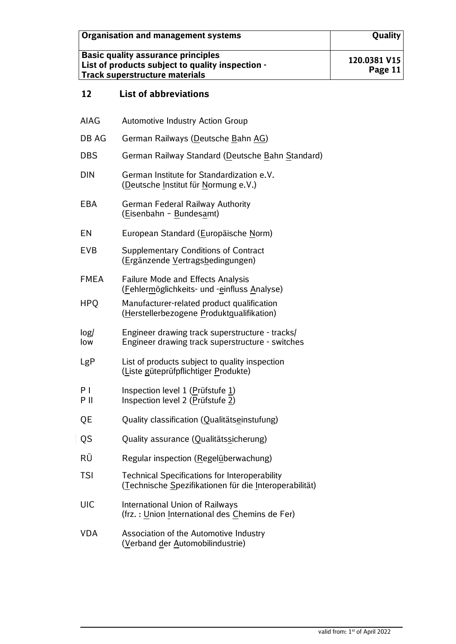| Organisation and management systems                                                                                                    | <b>Quality</b>          |
|----------------------------------------------------------------------------------------------------------------------------------------|-------------------------|
| <b>Basic quality assurance principles</b><br>List of products subject to quality inspection -<br><b>Track superstructure materials</b> | 120.0381 V15<br>Page 11 |

## **12 List of abbreviations**

 $\begin{array}{c} \hline \end{array}$ 

| <b>AIAG</b>            | <b>Automotive Industry Action Group</b>                                                                        |
|------------------------|----------------------------------------------------------------------------------------------------------------|
| DB AG                  | German Railways (Deutsche Bahn AG)                                                                             |
| <b>DBS</b>             | German Railway Standard (Deutsche Bahn Standard)                                                               |
| <b>DIN</b>             | German Institute for Standardization e.V.<br>(Deutsche Institut für Normung e.V.)                              |
| <b>EBA</b>             | <b>German Federal Railway Authority</b><br>(Eisenbahn - Bundesamt)                                             |
| EN                     | European Standard (Europäische Norm)                                                                           |
| <b>EVB</b>             | <b>Supplementary Conditions of Contract</b><br>(Ergänzende Vertragsbedingungen)                                |
| <b>FMEA</b>            | <b>Failure Mode and Effects Analysis</b><br>(Fehlermöglichkeits- und -einfluss Analyse)                        |
| <b>HPO</b>             | Manufacturer-related product qualification<br>(Herstellerbezogene Produktqualifikation)                        |
| log/<br>low            | Engineer drawing track superstructure - tracks/<br>Engineer drawing track superstructure - switches            |
| LgP                    | List of products subject to quality inspection<br>(Liste güteprüfpflichtiger Produkte)                         |
| P <sub>1</sub><br>P II | Inspection level 1 (Prüfstufe 1)<br>Inspection level 2 (Prüfstufe 2)                                           |
| QE                     | Quality classification (Qualitätseinstufung)                                                                   |
| QS                     | Quality assurance (Qualitätssicherung)                                                                         |
| RÜ                     | Regular inspection (Regelüberwachung)                                                                          |
| <b>TSI</b>             | <b>Technical Specifications for Interoperability</b><br>(Technische Spezifikationen für die Interoperabilität) |
| <b>UIC</b>             | International Union of Railways<br>(frz.: Union International des Chemins de Fer)                              |
| VDA                    | Association of the Automotive Industry<br>(Verband der Automobilindustrie)                                     |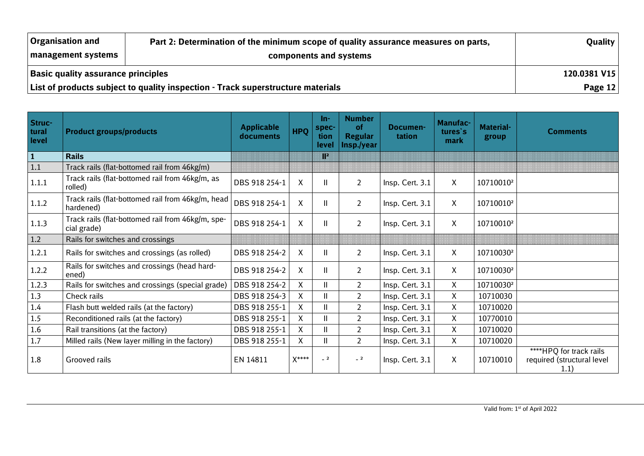| Organisation and                          | Quality                                                                         |           |
|-------------------------------------------|---------------------------------------------------------------------------------|-----------|
| management systems                        | components and systems                                                          |           |
| <b>Basic quality assurance principles</b> | 120.0381 V15                                                                    |           |
|                                           | List of products subject to quality inspection - Track superstructure materials | Page $12$ |

| Struc-<br>tural<br>level | <b>Product groups/products</b>                                   | <b>Applicable</b><br>documents | <b>HPQ</b> | $In-$<br>spec-<br>tion<br>level                                                                                                                                                                                                | <b>Number</b><br><b>of</b><br><b>Regular</b><br>Insp./year | Documen-<br>tation | <b>Manufac-</b><br>tures's<br>mark | <b>Material-</b><br>group | <b>Comments</b>                                               |
|--------------------------|------------------------------------------------------------------|--------------------------------|------------|--------------------------------------------------------------------------------------------------------------------------------------------------------------------------------------------------------------------------------|------------------------------------------------------------|--------------------|------------------------------------|---------------------------|---------------------------------------------------------------|
| $\vert$ 1                | <b>Rails</b>                                                     |                                |            | en en de la familie de la familie de la familie de la familie de la familie de la familie de la familie de la<br>Constantino de la familie de la familie de la familie de la familie de la familie de la familie de la familie |                                                            |                    |                                    |                           |                                                               |
| 1.1                      | Track rails (flat-bottomed rail from 46kg/m)                     |                                |            |                                                                                                                                                                                                                                |                                                            |                    |                                    |                           |                                                               |
| 1.1.1                    | Track rails (flat-bottomed rail from 46kg/m, as<br>rolled)       | DBS 918 254-1                  | X          | $\mathbf{I}$                                                                                                                                                                                                                   | $\overline{2}$                                             | Insp. Cert. 3.1    | $\mathsf{X}$                       | 10710010 <sup>2</sup>     |                                                               |
| 1.1.2                    | Track rails (flat-bottomed rail from 46kg/m, head<br>hardened)   | DBS 918 254-1                  | X          | $\mathsf{I}$                                                                                                                                                                                                                   | $\overline{2}$                                             | Insp. Cert. 3.1    | $\mathsf{X}$                       | 10710010 <sup>2</sup>     |                                                               |
| 1.1.3                    | Track rails (flat-bottomed rail from 46kg/m, spe-<br>cial grade) | DBS 918 254-1                  | X          | $\mathsf{I}$                                                                                                                                                                                                                   | $\overline{2}$                                             | Insp. Cert. 3.1    | $\mathsf{X}$                       | 10710010 <sup>2</sup>     |                                                               |
| $1.2$                    | Rails for switches and crossings                                 |                                |            |                                                                                                                                                                                                                                |                                                            |                    |                                    |                           |                                                               |
| 1.2.1                    | Rails for switches and crossings (as rolled)                     | DBS 918 254-2                  | X          | Ш                                                                                                                                                                                                                              | $\overline{2}$                                             | Insp. Cert. 3.1    | $\mathsf{X}$                       | 10710030 <sup>2</sup>     |                                                               |
| 1.2.2                    | Rails for switches and crossings (head hard-<br>ened)            | DBS 918 254-2                  | X          | Ш                                                                                                                                                                                                                              | $\overline{2}$                                             | Insp. Cert. 3.1    | $\mathsf{X}$                       | 10710030 <sup>2</sup>     |                                                               |
| 1.2.3                    | Rails for switches and crossings (special grade)                 | DBS 918 254-2                  | X          | $\mathbf{I}$                                                                                                                                                                                                                   | $\overline{2}$                                             | Insp. Cert. 3.1    | $\mathsf{X}$                       | 10710030 <sup>2</sup>     |                                                               |
| 1.3                      | Check rails                                                      | DBS 918 254-3                  | X          | Ш                                                                                                                                                                                                                              | $\overline{2}$                                             | Insp. Cert. 3.1    | $\mathsf{X}$                       | 10710030                  |                                                               |
| 1.4                      | Flash butt welded rails (at the factory)                         | DBS 918 255-1                  | X          | $\mathbf{I}$                                                                                                                                                                                                                   | $\overline{2}$                                             | Insp. Cert. 3.1    | X                                  | 10710020                  |                                                               |
| 1.5                      | Reconditioned rails (at the factory)                             | DBS 918 255-1                  | $\sf X$    | $\mathbf{I}$                                                                                                                                                                                                                   | $\overline{2}$                                             | Insp. Cert. 3.1    | X                                  | 10770010                  |                                                               |
| 1.6                      | Rail transitions (at the factory)                                | DBS 918 255-1                  | X          | Ш                                                                                                                                                                                                                              | $\overline{2}$                                             | Insp. Cert. 3.1    | $\mathsf{X}$                       | 10710020                  |                                                               |
| 1.7                      | Milled rails (New layer milling in the factory)                  | DBS 918 255-1                  | X          | $\mathbf{I}$                                                                                                                                                                                                                   | $\overline{2}$                                             | Insp. Cert. 3.1    | X                                  | 10710020                  |                                                               |
| 1.8                      | Grooved rails                                                    | EN 14811                       | X****      | $\_$ 2 $\,$                                                                                                                                                                                                                    | $= 2$                                                      | Insp. Cert. 3.1    | $\mathsf{X}$                       | 10710010                  | ****HPQ for track rails<br>required (structural level<br>1.1) |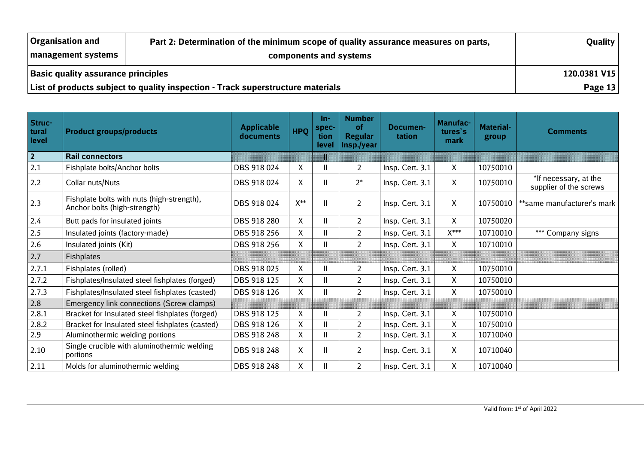| <b>Organisation and</b>                   | Quality                                                                         |           |
|-------------------------------------------|---------------------------------------------------------------------------------|-----------|
| management systems                        | components and systems                                                          |           |
| <b>Basic quality assurance principles</b> | 120.0381 V15                                                                    |           |
|                                           | List of products subject to quality inspection - Track superstructure materials | Page $13$ |

| Struc-<br>tural<br>level | <b>Product groups/products</b>                                             | <b>Applicable</b><br>documents | <b>HPQ</b>         | $In-$<br>spec-<br>tion<br>level | <b>Number</b><br><b>of</b><br><b>Regular</b><br>Insp./year | Documen-<br>tation | Manufac-<br>tures's<br>mark | <b>Material-</b><br>group | Comments                                        |
|--------------------------|----------------------------------------------------------------------------|--------------------------------|--------------------|---------------------------------|------------------------------------------------------------|--------------------|-----------------------------|---------------------------|-------------------------------------------------|
| $\overline{2}$           | <b>Rail connectors</b>                                                     |                                |                    | T                               |                                                            |                    |                             |                           |                                                 |
| 2.1                      | Fishplate bolts/Anchor bolts                                               | DBS 918 024                    | X                  | $\mathsf{I}$                    | $\overline{2}$                                             | Insp. Cert. 3.1    | $\mathsf{X}$                | 10750010                  |                                                 |
| 2.2                      | Collar nuts/Nuts                                                           | DBS 918 024                    | Χ                  | Ш                               | $2^*$                                                      | Insp. Cert. 3.1    | X                           | 10750010                  | *If necessary, at the<br>supplier of the screws |
| 2.3                      | Fishplate bolts with nuts (high-strength),<br>Anchor bolts (high-strength) | DBS 918 024                    | $X^{**}$           | $\mathbf{I}$                    | $\overline{2}$                                             | Insp. Cert. 3.1    | X                           | 10750010                  | **same manufacturer's mark                      |
| 2.4                      | Butt pads for insulated joints                                             | DBS 918 280                    | X                  | $\mathbf{I}$                    | $\overline{2}$                                             | Insp. Cert. 3.1    | X                           | 10750020                  |                                                 |
| 2.5                      | Insulated joints (factory-made)                                            | DBS 918 256                    | χ                  | $\mathbf{I}$                    | $\overline{2}$                                             | Insp. Cert. 3.1    | $X^{***}$                   | 10710010                  | *** Company signs                               |
| 2.6                      | Insulated joints (Kit)                                                     | DBS 918 256                    | Χ                  | Ш                               | $\overline{2}$                                             | Insp. Cert. 3.1    | X                           | 10710010                  |                                                 |
| 2.7                      | <b>Fishplates</b>                                                          |                                |                    |                                 |                                                            |                    |                             |                           |                                                 |
| 2.7.1                    | Fishplates (rolled)                                                        | DBS 918 025                    | Χ                  | $\mathsf{I}$                    | $\overline{2}$                                             | Insp. Cert. 3.1    | $\mathsf{X}$                | 10750010                  |                                                 |
| 2.7.2                    | Fishplates/Insulated steel fishplates (forged)                             | DBS 918 125                    | X                  | $\mathsf{I}$                    | $\overline{2}$                                             | Insp. Cert. 3.1    | X                           | 10750010                  |                                                 |
| 2.7.3                    | Fishplates/Insulated steel fishplates (casted)                             | DBS 918 126                    | X                  | $\mathbf{H}$                    | $\overline{2}$                                             | Insp. Cert. 3.1    | X                           | 10750010                  |                                                 |
| 2.8                      | Emergency link connections (Screw clamps)                                  |                                |                    |                                 |                                                            |                    |                             |                           |                                                 |
| 2.8.1                    | Bracket for Insulated steel fishplates (forged)                            | DBS 918 125                    | $\pmb{\mathsf{X}}$ | Ш                               | $\overline{2}$                                             | Insp. Cert. 3.1    | X                           | 10750010                  |                                                 |
| 2.8.2                    | Bracket for Insulated steel fishplates (casted)                            | DBS 918 126                    | Χ                  |                                 | $\overline{2}$                                             | Insp. Cert. 3.1    | X                           | 10750010                  |                                                 |
| 2.9                      | Aluminothermic welding portions                                            | DBS 918 248                    | X                  | Ш                               | $\overline{2}$                                             | Insp. Cert. 3.1    | X                           | 10710040                  |                                                 |
| 2.10                     | Single crucible with aluminothermic welding<br>portions                    | DBS 918 248                    | Χ                  | Ш                               | $\overline{2}$                                             | Insp. Cert. 3.1    | $\mathsf{X}$                | 10710040                  |                                                 |
| 2.11                     | Molds for aluminothermic welding                                           | DBS 918 248                    | X                  |                                 | $\overline{2}$                                             | Insp. Cert. 3.1    | X                           | 10710040                  |                                                 |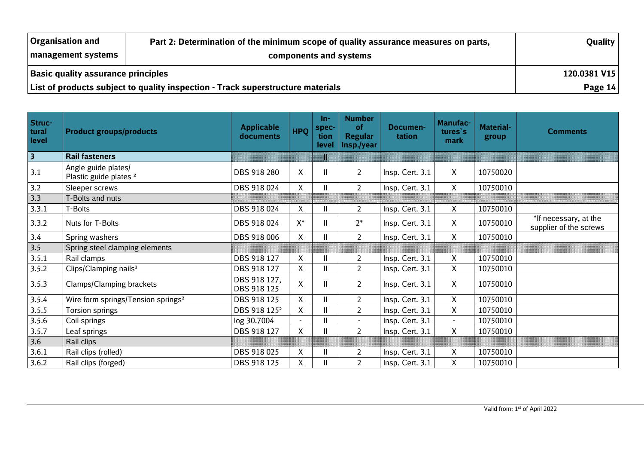| <b>Organisation and</b>                   | Quality                                                                         |           |
|-------------------------------------------|---------------------------------------------------------------------------------|-----------|
| management systems                        | components and systems                                                          |           |
| <b>Basic quality assurance principles</b> | 120.0381 V15                                                                    |           |
|                                           | List of products subject to quality inspection - Track superstructure materials | Page $14$ |

| Struc-<br>tural<br>level | <b>Product groups/products</b>                           | <b>Applicable</b><br>documents | <b>HPQ</b> | $In-$<br>spec-<br>tion<br>level | <b>Number</b><br><b>of</b><br><b>Regular</b><br>Insp./year | Documen-<br>tation | Manufac-<br>tures's<br>mark | <b>Material-</b><br>group | <b>Comments</b>                                 |
|--------------------------|----------------------------------------------------------|--------------------------------|------------|---------------------------------|------------------------------------------------------------|--------------------|-----------------------------|---------------------------|-------------------------------------------------|
|                          | <b>Rail fasteners</b>                                    |                                |            | I                               |                                                            |                    |                             |                           |                                                 |
| 3.1                      | Angle guide plates/<br>Plastic guide plates <sup>2</sup> | DBS 918 280                    | X          | Ш                               | $\overline{2}$                                             | Insp. Cert. 3.1    | $\mathsf{X}$                | 10750020                  |                                                 |
| $3.2$                    | Sleeper screws                                           | DBS 918 024                    | X          | Ш                               | $\overline{2}$                                             | Insp. Cert. 3.1    | $\mathsf{X}$                | 10750010                  |                                                 |
| 3.3                      | -Bolts and nuts                                          |                                |            |                                 |                                                            |                    |                             |                           |                                                 |
| 3.3.1                    | T-Bolts                                                  | DBS 918 024                    | X          | Ш                               | $\overline{2}$                                             | Insp. Cert. 3.1    | $\mathsf{X}$                | 10750010                  |                                                 |
| 3.3.2                    | Nuts for T-Bolts                                         | DBS 918 024                    | $X^*$      | Ш                               | $2*$                                                       | Insp. Cert. 3.1    | $\mathsf{X}$                | 10750010                  | *If necessary, at the<br>supplier of the screws |
| 3.4                      | Spring washers                                           | DBS 918 006                    | X          | Ш                               | $\overline{2}$                                             | Insp. Cert. 3.1    | $\mathsf{X}$                | 10750010                  |                                                 |
| $\overline{3.5}$         | Spring steel clamping elements                           |                                |            |                                 |                                                            |                    |                             |                           |                                                 |
| 3.5.1                    | Rail clamps                                              | DBS 918 127                    | X          | Ш                               | $\overline{2}$                                             | Insp. Cert. 3.1    | $\mathsf{X}$                | 10750010                  |                                                 |
| 3.5.2                    | Clips/Clamping nails <sup>2</sup>                        | DBS 918 127                    | X          | Ш                               | $\overline{2}$                                             | Insp. Cert. 3.1    | $\mathsf{X}$                | 10750010                  |                                                 |
| 3.5.3                    | Clamps/Clamping brackets                                 | DBS 918 127,<br>DBS 918 125    | X          | Ш                               | $\overline{2}$                                             | Insp. Cert. 3.1    | X                           | 10750010                  |                                                 |
| 3.5.4                    | Wire form springs/Tension springs <sup>2</sup>           | DBS 918 125                    | X          | Ш                               | $\overline{2}$                                             | Insp. Cert. 3.1    | $\mathsf{X}$                | 10750010                  |                                                 |
| 3.5.5                    | <b>Torsion springs</b>                                   | DBS 918 125 <sup>2</sup>       | X          | Ш                               | $\overline{2}$                                             | Insp. Cert. 3.1    | $\mathsf{X}$                | 10750010                  |                                                 |
| 3.5.6                    | Coil springs                                             | log 30.7004                    | $\sim$     | Ш                               |                                                            | Insp. Cert. 3.1    | $\sim$                      | 10750010                  |                                                 |
| 3.5.7                    | Leaf springs                                             | DBS 918 127                    | X          | $\overline{\mathsf{I}}$         | $\overline{2}$                                             | Insp. Cert. 3.1    | $\mathsf{X}$                | 10750010                  |                                                 |
| 3.6                      | Rail clips                                               |                                |            |                                 |                                                            |                    |                             |                           |                                                 |
| 3.6.1                    | Rail clips (rolled)                                      | DBS 918 025                    | Χ          | $\overline{\mathsf{I}}$         | $\overline{2}$                                             | Insp. Cert. 3.1    | X                           | 10750010                  |                                                 |
| 3.6.2                    | Rail clips (forged)                                      | DBS 918 125                    | X          | Ш                               | $\overline{2}$                                             | Insp. Cert. 3.1    | X                           | 10750010                  |                                                 |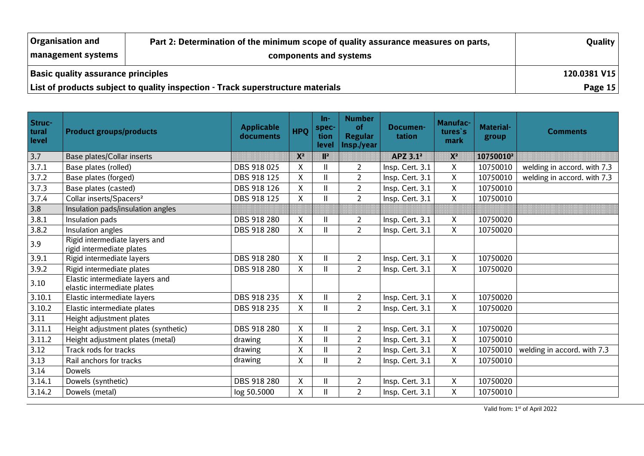| <b>Organisation and</b>                   | Part 2: Determination of the minimum scope of quality assurance measures on parts, | Quality   |
|-------------------------------------------|------------------------------------------------------------------------------------|-----------|
| management systems                        |                                                                                    |           |
| <b>Basic quality assurance principles</b> | 120.0381 V15                                                                       |           |
|                                           | List of products subject to quality inspection - Track superstructure materials    | Page $15$ |

| Struc-<br>tural<br>level | <b>Product groups/products</b>                                 | <b>Applicable</b><br>documents | <b>HPO</b>                                                                                                                                                                                                                     | $In-$<br>spec-<br>tion<br>level | <b>Number</b><br><b>of</b><br><b>Regular</b><br>Insp./year | Documen-<br>tation   | <b>Manufac-</b><br>tures's<br>mark | <b>Material-</b><br>group | <b>Comments</b>             |
|--------------------------|----------------------------------------------------------------|--------------------------------|--------------------------------------------------------------------------------------------------------------------------------------------------------------------------------------------------------------------------------|---------------------------------|------------------------------------------------------------|----------------------|------------------------------------|---------------------------|-----------------------------|
| 3.7                      | Base plates/Collar inserts                                     |                                | en en de la familie de la familie de la familie de la familie de la familie de la familie de la familie de la<br>Décembre de la familie de la familie de la familie de la familie de la familie de la familie de la familie de | 12                              |                                                            | APZ 3.1 <sup>2</sup> | X                                  | 10750010 <sup>2</sup>     |                             |
| 3.7.1                    | Base plates (rolled)                                           | DBS 918 025                    | Χ                                                                                                                                                                                                                              | $\mathsf{I}$                    | $\overline{2}$                                             | Insp. Cert. 3.1      | X                                  | 10750010                  | welding in accord. with 7.3 |
| 3.7.2                    | Base plates (forged)                                           | DBS 918 125                    | Χ                                                                                                                                                                                                                              | $\mathbf{I}$                    | $\overline{2}$                                             | Insp. Cert. 3.1      | X                                  | 10750010                  | welding in accord. with 7.3 |
| 3.7.3                    | Base plates (casted)                                           | DBS 918 126                    | $\mathsf{X}$                                                                                                                                                                                                                   | $\mathbf{I}$                    | $\overline{2}$                                             | Insp. Cert. 3.1      | $\mathsf{X}$                       | 10750010                  |                             |
| 3.7.4                    | Collar inserts/Spacers <sup>2</sup>                            | DBS 918 125                    | Χ                                                                                                                                                                                                                              | $\mathbf{I}$                    | $\overline{2}$                                             | Insp. Cert. 3.1      | $\mathsf{X}$                       | 10750010                  |                             |
| 3.8                      | Insulation pads/insulation angles                              |                                |                                                                                                                                                                                                                                |                                 |                                                            |                      |                                    |                           |                             |
| 3.8.1                    | Insulation pads                                                | DBS 918 280                    | $\sf X$                                                                                                                                                                                                                        | $\overline{\mathsf{I}}$         | $\overline{a}$                                             | Insp. Cert. 3.1      | X                                  | 10750020                  |                             |
| 3.8.2                    | Insulation angles                                              | DBS 918 280                    | Χ                                                                                                                                                                                                                              | $\mathsf{I}$                    | $\overline{2}$                                             | Insp. Cert. 3.1      | X                                  | 10750020                  |                             |
| 3.9                      | Rigid intermediate layers and<br>rigid intermediate plates     |                                |                                                                                                                                                                                                                                |                                 |                                                            |                      |                                    |                           |                             |
| 3.9.1                    | Rigid intermediate layers                                      | DBS 918 280                    | X                                                                                                                                                                                                                              | $\mathbf{I}$                    | $\overline{2}$                                             | Insp. Cert. 3.1      | $\mathsf{X}$                       | 10750020                  |                             |
| 3.9.2                    | Rigid intermediate plates                                      | DBS 918 280                    | X                                                                                                                                                                                                                              | Ш                               | $\overline{2}$                                             | Insp. Cert. 3.1      | X                                  | 10750020                  |                             |
| 3.10                     | Elastic intermediate layers and<br>elastic intermediate plates |                                |                                                                                                                                                                                                                                |                                 |                                                            |                      |                                    |                           |                             |
| 3.10.1                   | Elastic intermediate layers                                    | DBS 918 235                    | $\pmb{\mathsf{X}}$                                                                                                                                                                                                             | $\mathbf{I}$                    | $\overline{2}$                                             | Insp. Cert. 3.1      | X                                  | 10750020                  |                             |
| 3.10.2                   | Elastic intermediate plates                                    | DBS 918 235                    | X                                                                                                                                                                                                                              | Ш                               | $\overline{2}$                                             | Insp. Cert. 3.1      | $\mathsf{X}$                       | 10750020                  |                             |
| 3.11                     | Height adjustment plates                                       |                                |                                                                                                                                                                                                                                |                                 |                                                            |                      |                                    |                           |                             |
| 3.11.1                   | Height adjustment plates (synthetic)                           | DBS 918 280                    | Χ                                                                                                                                                                                                                              | Ш                               | 2 <sup>1</sup>                                             | Insp. Cert. 3.1      | $\mathsf{X}$                       | 10750020                  |                             |
| 3.11.2                   | Height adjustment plates (metal)                               | drawing                        | Χ                                                                                                                                                                                                                              | $\mathsf{I}$                    | $\overline{2}$                                             | Insp. Cert. 3.1      | X                                  | 10750010                  |                             |
| 3.12                     | Track rods for tracks                                          | drawing                        | $\pmb{\mathsf{X}}$                                                                                                                                                                                                             | $\overline{\mathsf{I}}$         | $\overline{a}$                                             | Insp. Cert. 3.1      | X                                  | 10750010                  | welding in accord. with 7.3 |
| 3.13                     | Rail anchors for tracks                                        | drawing                        | Χ                                                                                                                                                                                                                              | $\mathbf{I}$                    | $\overline{2}$                                             | Insp. Cert. 3.1      | $\mathsf{X}$                       | 10750010                  |                             |
| 3.14                     | <b>Dowels</b>                                                  |                                |                                                                                                                                                                                                                                |                                 |                                                            |                      |                                    |                           |                             |
| 3.14.1                   | Dowels (synthetic)                                             | DBS 918 280                    | $\pmb{\mathsf{X}}$                                                                                                                                                                                                             | $\mathbf{I}$                    | $\overline{2}$                                             | Insp. Cert. 3.1      | X                                  | 10750020                  |                             |
| 3.14.2                   | Dowels (metal)                                                 | log 50.5000                    | $\mathsf{X}$                                                                                                                                                                                                                   | $\mathbf{I}$                    | $\overline{2}$                                             | Insp. Cert. 3.1      | $\mathsf X$                        | 10750010                  |                             |

Valid from: 1st of April 2022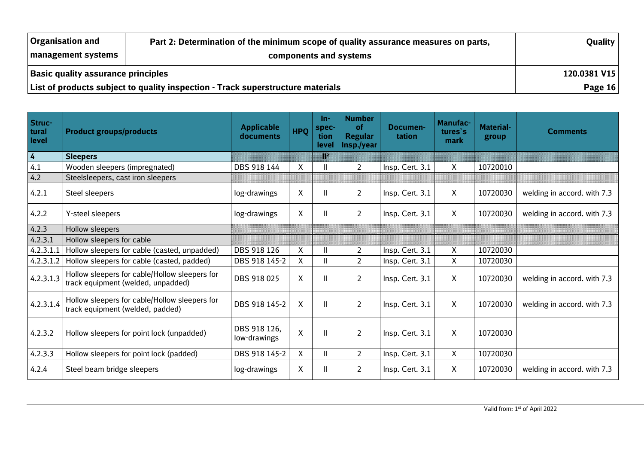| Organisation and                          | Part 2: Determination of the minimum scope of quality assurance measures on parts, | Quality   |
|-------------------------------------------|------------------------------------------------------------------------------------|-----------|
| management systems                        |                                                                                    |           |
| <b>Basic quality assurance principles</b> | 120.0381 V15                                                                       |           |
|                                           | List of products subject to quality inspection - Track superstructure materials    | Page $16$ |

| Struc-<br>tural<br>level | <b>Product groups/products</b>                                                      | <b>Applicable</b><br>documents | <b>HPQ</b>                | $In-$<br>spec-<br>tion<br>level | <b>Number</b><br>of<br><b>Regular</b><br>Insp./year | Documen-<br>tation | <b>Manufac-</b><br>tures's<br>mark | <b>Material-</b><br>group | <b>Comments</b>             |
|--------------------------|-------------------------------------------------------------------------------------|--------------------------------|---------------------------|---------------------------------|-----------------------------------------------------|--------------------|------------------------------------|---------------------------|-----------------------------|
| $\vert$ 4                | <b>Sleepers</b>                                                                     |                                |                           | 15                              |                                                     |                    |                                    |                           |                             |
| 4.1                      | Wooden sleepers (impregnated)                                                       | DBS 918 144                    | Χ                         |                                 | $\overline{2}$                                      | Insp. Cert. 3.1    | X                                  | 10720010                  |                             |
| 4.2                      | Steelsleepers, cast iron sleepers                                                   |                                |                           |                                 |                                                     |                    |                                    |                           |                             |
| 4.2.1                    | Steel sleepers                                                                      | log-drawings                   | $\boldsymbol{\mathsf{X}}$ | $\mathbf{I}$                    | $\overline{2}$                                      | Insp. Cert. 3.1    | X                                  | 10720030                  | welding in accord. with 7.3 |
| 4.2.2                    | Y-steel sleepers                                                                    | log-drawings                   | X                         | Ш                               | $\overline{2}$                                      | Insp. Cert. 3.1    | X                                  | 10720030                  | welding in accord. with 7.3 |
| 4.2.3                    | Hollow sleepers                                                                     |                                |                           |                                 |                                                     |                    |                                    |                           |                             |
| 4.2.3.1                  | Hollow sleepers for cable                                                           |                                |                           |                                 |                                                     |                    |                                    |                           |                             |
| 4.2.3.1.1                | Hollow sleepers for cable (casted, unpadded)                                        | DBS 918 126                    | Χ                         | Ш                               | $\overline{2}$                                      | Insp. Cert. 3.1    | X                                  | 10720030                  |                             |
| 4.2.3.1.2                | Hollow sleepers for cable (casted, padded)                                          | DBS 918 145-2                  | X                         | Ш                               | $\overline{2}$                                      | Insp. Cert. 3.1    | X                                  | 10720030                  |                             |
| 4.2.3.1.3                | Hollow sleepers for cable/Hollow sleepers for<br>track equipment (welded, unpadded) | DBS 918 025                    | $\mathsf X$               | $\mathbf{I}$                    | $\overline{2}$                                      | Insp. Cert. 3.1    | X                                  | 10720030                  | welding in accord. with 7.3 |
| 4.2.3.1.4                | Hollow sleepers for cable/Hollow sleepers for<br>track equipment (welded, padded)   | DBS 918 145-2                  | $\boldsymbol{\mathsf{X}}$ | $\mathbf{I}$                    | $\overline{2}$                                      | Insp. Cert. 3.1    | $\mathsf{X}$                       | 10720030                  | welding in accord. with 7.3 |
| 4.2.3.2                  | Hollow sleepers for point lock (unpadded)                                           | DBS 918 126,<br>low-drawings   | $\mathsf{X}$              | Ш                               | $\overline{2}$                                      | Insp. Cert. 3.1    | $\mathsf{X}$                       | 10720030                  |                             |
| 4.2.3.3                  | Hollow sleepers for point lock (padded)                                             | DBS 918 145-2                  | $\pmb{\mathsf{X}}$        | Ш                               | $\overline{2}$                                      | Insp. Cert. 3.1    | X                                  | 10720030                  |                             |
| 4.2.4                    | Steel beam bridge sleepers                                                          | log-drawings                   | X                         | Ш                               | $\overline{2}$                                      | Insp. Cert. 3.1    | X                                  | 10720030                  | welding in accord. with 7.3 |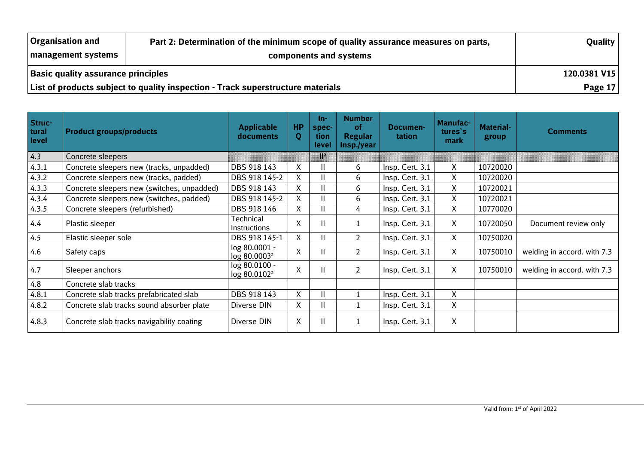| <b>Organisation and</b> | Part 2: Determination of the minimum scope of quality assurance measures on parts, | <b>Quality</b> |  |  |  |  |  |  |
|-------------------------|------------------------------------------------------------------------------------|----------------|--|--|--|--|--|--|
| management systems      |                                                                                    |                |  |  |  |  |  |  |
|                         | <b>Basic quality assurance principles</b>                                          |                |  |  |  |  |  |  |
|                         | List of products subject to quality inspection - Track superstructure materials    | <b>Page 17</b> |  |  |  |  |  |  |

| Struc-<br>tural<br>level | <b>Product groups/products</b>             | <b>Applicable</b><br>documents            | <b>HP</b><br>Q | In-<br>spec-<br>tion<br>level | <b>Number</b><br><b>of</b><br><b>Regular</b><br>Insp./year | Documen-<br>tation | Manufac-<br>tures's<br>mark | <b>Material-</b><br>group | <b>Comments</b>             |
|--------------------------|--------------------------------------------|-------------------------------------------|----------------|-------------------------------|------------------------------------------------------------|--------------------|-----------------------------|---------------------------|-----------------------------|
| 4.3                      | Concrete sleepers                          |                                           |                | II.                           |                                                            |                    |                             |                           |                             |
| 4.3.1                    | Concrete sleepers new (tracks, unpadded)   | DBS 918 143                               | X              |                               | 6                                                          | Insp. Cert. 3.1    | $\mathsf{X}$                | 10720020                  |                             |
| 4.3.2                    | Concrete sleepers new (tracks, padded)     | DBS 918 145-2                             | X              |                               | 6                                                          | Insp. Cert. 3.1    | $\mathsf{X}$                | 10720020                  |                             |
| 4.3.3                    | Concrete sleepers new (switches, unpadded) | DBS 918 143                               | X              |                               | 6                                                          | Insp. Cert. 3.1    | X.                          | 10720021                  |                             |
| 4.3.4                    | Concrete sleepers new (switches, padded)   | DBS 918 145-2                             | X              |                               | 6                                                          | Insp. Cert. 3.1    | X                           | 10720021                  |                             |
| 4.3.5                    | Concrete sleepers (refurbished)            | DBS 918 146                               | X              | Ш                             | 4                                                          | Insp. Cert. 3.1    | X.                          | 10770020                  |                             |
| 4.4                      | Plastic sleeper                            | Technical<br><b>Instructions</b>          | X              | Ш                             |                                                            | Insp. Cert. 3.1    | $\mathsf{X}$                | 10720050                  | Document review only        |
| 4.5                      | Elastic sleeper sole                       | DBS 918 145-1                             | $\mathsf{X}$   | н                             | $\overline{2}$                                             | Insp. Cert. 3.1    | $\mathsf{X}$                | 10750020                  |                             |
| 4.6                      | Safety caps                                | log 80.0001 -<br>log 80.0003 <sup>2</sup> | X              |                               | $\overline{2}$                                             | Insp. Cert. 3.1    | $\mathsf{X}$                | 10750010                  | welding in accord. with 7.3 |
| 4.7                      | Sleeper anchors                            | log 80.0100 -<br>log 80.0102 <sup>2</sup> | X              |                               | $\overline{2}$                                             | Insp. Cert. 3.1    | $\mathsf{X}$                | 10750010                  | welding in accord. with 7.3 |
| 4.8                      | Concrete slab tracks                       |                                           |                |                               |                                                            |                    |                             |                           |                             |
| 4.8.1                    | Concrete slab tracks prefabricated slab    | DBS 918 143                               | X              |                               |                                                            | Insp. Cert. 3.1    | X                           |                           |                             |
| 4.8.2                    | Concrete slab tracks sound absorber plate  | Diverse DIN                               | X              |                               |                                                            | Insp. Cert. 3.1    | X                           |                           |                             |
| 4.8.3                    | Concrete slab tracks navigability coating  | Diverse DIN                               | X              | Ш                             |                                                            | Insp. Cert. 3.1    | X                           |                           |                             |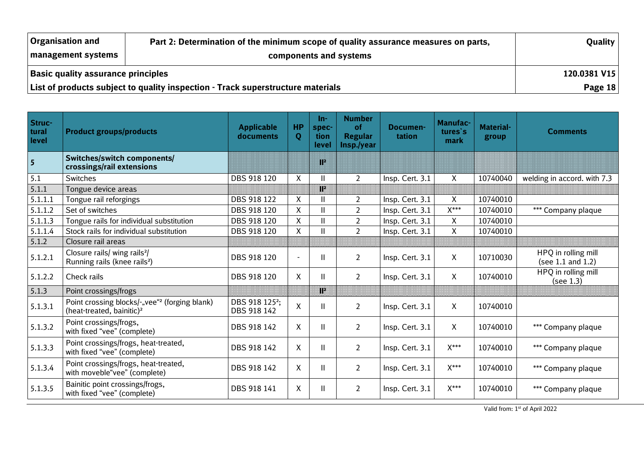| <b>Organisation and</b>                   | Part 2: Determination of the minimum scope of quality assurance measures on parts, | Quality   |
|-------------------------------------------|------------------------------------------------------------------------------------|-----------|
| management systems                        |                                                                                    |           |
| <b>Basic quality assurance principles</b> | 120.0381 V15                                                                       |           |
|                                           | List of products subject to quality inspection - Track superstructure materials    | Page $18$ |

| Struc-<br>tural<br>level | <b>Product groups/products</b>                                                                     | <b>Applicable</b><br>documents            | <b>HP</b><br>Q     | In-<br>spec-<br>tion<br><b>level</b> | <b>Number</b><br>of<br><b>Regular</b><br>Insp./year | Documen-<br>tation | <b>Manufac-</b><br>tures's<br>mark | <b>Material-</b><br>group | <b>Comments</b>                               |
|--------------------------|----------------------------------------------------------------------------------------------------|-------------------------------------------|--------------------|--------------------------------------|-----------------------------------------------------|--------------------|------------------------------------|---------------------------|-----------------------------------------------|
| $\overline{\phantom{a}}$ | Switches/switch components/<br>crossings/rail extensions                                           |                                           |                    | T                                    |                                                     |                    |                                    |                           |                                               |
| 5.1                      | Switches                                                                                           | DBS 918 120                               | X                  | Ш                                    | $\overline{2}$                                      | Insp. Cert. 3.1    | $\mathsf{X}$                       | 10740040                  | welding in accord. with 7.3                   |
| 5.1.1                    | Tongue device areas                                                                                |                                           |                    | $\mathbf{R}$                         |                                                     |                    |                                    |                           |                                               |
| 5.1.1.1                  | Tongue rail reforgings                                                                             | DBS 918 122                               | $\mathsf{X}$       | $\mathbf{H}$                         | $\overline{2}$                                      | Insp. Cert. 3.1    | $\mathsf{X}$                       | 10740010                  |                                               |
| 5.1.1.2                  | Set of switches                                                                                    | DBS 918 120                               | X                  |                                      | $\overline{2}$                                      | Insp. Cert. 3.1    | $X^{***}$                          | 10740010                  | *** Company plaque                            |
| 5.1.1.3                  | Tongue rails for individual substitution                                                           | DBS 918 120                               | X                  | Ш                                    | $\overline{2}$                                      | Insp. Cert. 3.1    | X                                  | 10740010                  |                                               |
| 5.1.1.4                  | Stock rails for individual substitution                                                            | DBS 918 120                               | X                  | $\mathbf{H}$                         | $\overline{2}$                                      | Insp. Cert. 3.1    | $\boldsymbol{\mathsf{X}}$          | 10740010                  |                                               |
| 5.1.2                    | Closure rail areas                                                                                 |                                           |                    |                                      |                                                     |                    |                                    |                           |                                               |
| 5.1.2.1                  | Closure rails/ wing rails <sup>2</sup> /<br>Running rails (knee rails <sup>2</sup> )               | DBS 918 120                               | $\blacksquare$     | Ш                                    | 2                                                   | Insp. Cert. 3.1    | $\mathsf{X}$                       | 10710030                  | HPQ in rolling mill<br>(see $1.1$ and $1.2$ ) |
| 5.1.2.2                  | Check rails                                                                                        | DBS 918 120                               | X                  | H.                                   | $\overline{2}$                                      | Insp. Cert. 3.1    | $\mathsf{X}$                       | 10740010                  | HPQ in rolling mill<br>(see 1.3)              |
| 5.1.3                    | Point crossings/frogs                                                                              |                                           |                    | T                                    |                                                     |                    |                                    |                           |                                               |
| 5.1.3.1                  | Point crossing blocks/-"vee" <sup>2</sup> (forging blank)<br>(heat-treated, bainitic) <sup>2</sup> | DBS 918 125 <sup>2</sup> ;<br>DBS 918 142 | $\pmb{\mathsf{X}}$ | $\mathbf{H}$                         | $\overline{2}$                                      | Insp. Cert. 3.1    | X                                  | 10740010                  |                                               |
| 5.1.3.2                  | Point crossings/frogs,<br>with fixed "vee" (complete)                                              | DBS 918 142                               | $\mathsf{X}$       | $\mathbf{II}$                        | $\overline{2}$                                      | Insp. Cert. 3.1    | $\mathsf{X}$                       | 10740010                  | *** Company plaque                            |
| 5.1.3.3                  | Point crossings/frogs, heat-treated,<br>with fixed "vee" (complete)                                | DBS 918 142                               | X                  | $\mathbf{I}$                         | $\overline{2}$                                      | Insp. Cert. 3.1    | $\mathsf{X}^{***}$                 | 10740010                  | *** Company plaque                            |
| 5.1.3.4                  | Point crossings/frogs, heat-treated,<br>with moveble"vee" (complete)                               | DBS 918 142                               | X                  | $\mathbf{I}$                         | $\overline{2}$                                      | Insp. Cert. 3.1    | $X^{***}$                          | 10740010                  | *** Company plaque                            |
| 5.1.3.5                  | Bainitic point crossings/frogs,<br>with fixed "vee" (complete)                                     | DBS 918 141                               | X                  | H.                                   | $\overline{2}$                                      | Insp. Cert. 3.1    | $X***$                             | 10740010                  | *** Company plaque                            |

Valid from: 1st of April 2022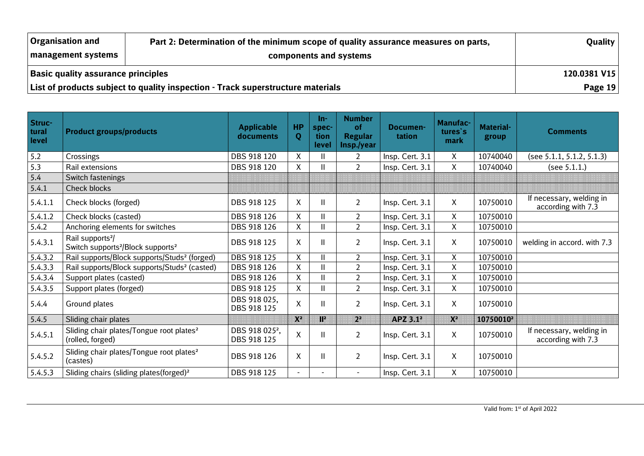| <b>Organisation and</b>                   | Part 2: Determination of the minimum scope of quality assurance measures on parts, | Quality   |
|-------------------------------------------|------------------------------------------------------------------------------------|-----------|
| management systems                        |                                                                                    |           |
| <b>Basic quality assurance principles</b> | 120.0381 V15                                                                       |           |
|                                           | List of products subject to quality inspection - Track superstructure materials    | Page $19$ |

| Struc-<br>tural<br>level | <b>Product groups/products</b>                                                            | <b>Applicable</b><br>documents            | <b>HP</b><br>Q | $In-$<br>spec-<br>tion<br>level | <b>Number</b><br>of<br><b>Regular</b><br>Insp./year | Documen-<br>tation   | <b>Manufac-</b><br>tures's<br><b>mark</b> | <b>Material-</b><br>group | <b>Comments</b>                                |
|--------------------------|-------------------------------------------------------------------------------------------|-------------------------------------------|----------------|---------------------------------|-----------------------------------------------------|----------------------|-------------------------------------------|---------------------------|------------------------------------------------|
| 5.2                      | Crossings                                                                                 | DBS 918 120                               | X              | $\mathbf{H}$                    | 2                                                   | Insp. Cert. 3.1      | X                                         | 10740040                  | (see 5.1.1, 5.1.2, 5.1.3)                      |
| 5.3                      | Rail extensions                                                                           | DBS 918 120                               | X              |                                 | $\overline{2}$                                      | Insp. Cert. 3.1      | $\mathsf{X}$                              | 10740040                  | (see $5.1.1$ .)                                |
| 5.4                      | Switch fastenings                                                                         |                                           |                |                                 |                                                     |                      |                                           |                           |                                                |
| 5.4.1                    | Check blocks                                                                              |                                           |                |                                 |                                                     |                      |                                           |                           |                                                |
| 5.4.1.1                  | Check blocks (forged)                                                                     | DBS 918 125                               | X              | Ш                               | $\overline{2}$                                      | Insp. Cert. 3.1      | $\mathsf{X}$                              | 10750010                  | If necessary, welding in<br>according with 7.3 |
| 5.4.1.2                  | Check blocks (casted)                                                                     | DBS 918 126                               | Χ              | Ш                               | $\overline{2}$                                      | Insp. Cert. 3.1      | $\mathsf{X}$                              | 10750010                  |                                                |
| 5.4.2                    | Anchoring elements for switches                                                           | DBS 918 126                               | X              |                                 | $\overline{2}$                                      | Insp. Cert. 3.1      | X.                                        | 10750010                  |                                                |
| 5.4.3.1                  | Rail supports <sup>2</sup> /<br>Switch supports <sup>2</sup> /Block supports <sup>2</sup> | DBS 918 125                               | X              | Ш                               | $\overline{2}$                                      | Insp. Cert. 3.1      | $\mathsf{X}$                              | 10750010                  | welding in accord. with 7.3                    |
| 5.4.3.2                  | Rail supports/Block supports/Studs <sup>2</sup> (forged)                                  | DBS 918 125                               | X              |                                 | $\overline{2}$                                      | Insp. Cert. 3.1      | X                                         | 10750010                  |                                                |
| 5.4.3.3                  | Rail supports/Block supports/Studs <sup>2</sup> (casted)                                  | DBS 918 126                               | X              |                                 | $\overline{2}$                                      | Insp. Cert. 3.1      | $\mathsf{X}$                              | 10750010                  |                                                |
| 5.4.3.4                  | Support plates (casted)                                                                   | DBS 918 126                               | X              |                                 | $\overline{2}$                                      | Insp. Cert. 3.1      | $\mathsf{X}$                              | 10750010                  |                                                |
| 5.4.3.5                  | Support plates (forged)                                                                   | DBS 918 125                               | $\mathsf{X}$   | Ш                               | $\overline{2}$                                      | Insp. Cert. 3.1      | $\mathsf{X}$                              | 10750010                  |                                                |
| 5.4.4                    | Ground plates                                                                             | DBS 918 025,<br>DBS 918 125               | X              | Ш                               | $\overline{2}$                                      | Insp. Cert. 3.1      | $\mathsf{X}$                              | 10750010                  |                                                |
| 5.4.5                    | Sliding chair plates                                                                      |                                           | X              | IC                              | <b>Time</b>                                         | APZ 3.1 <sup>2</sup> | $\sum_{i=1}^{n}$                          | 10750010 <sup>2</sup>     |                                                |
| 5.4.5.1                  | Sliding chair plates/Tongue root plates <sup>2</sup><br>(rolled, forged)                  | DBS 918 025 <sup>2</sup> ,<br>DBS 918 125 | $\mathsf{X}$   | Ш                               | $\overline{2}$                                      | Insp. Cert. 3.1      | $\mathsf{X}$                              | 10750010                  | If necessary, welding in<br>according with 7.3 |
| 5.4.5.2                  | Sliding chair plates/Tongue root plates <sup>2</sup><br>(castes)                          | DBS 918 126                               | X              | H.                              | $\overline{2}$                                      | Insp. Cert. 3.1      | $\mathsf{X}$                              | 10750010                  |                                                |
| 5.4.5.3                  | Sliding chairs (sliding plates(forged) <sup>2</sup>                                       | DBS 918 125                               | $\blacksquare$ |                                 |                                                     | Insp. Cert. 3.1      | $\mathsf{X}$                              | 10750010                  |                                                |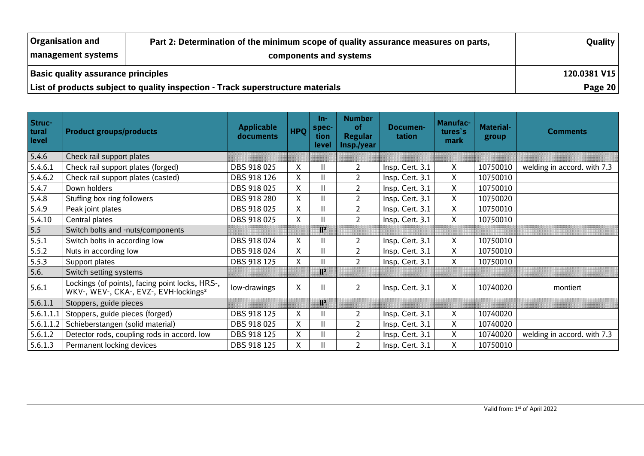| <b>Organisation and</b>                   | Part 2: Determination of the minimum scope of quality assurance measures on parts, | Quality |
|-------------------------------------------|------------------------------------------------------------------------------------|---------|
| management systems                        |                                                                                    |         |
| <b>Basic quality assurance principles</b> | 120.0381 V15                                                                       |         |
|                                           | List of products subject to quality inspection - Track superstructure materials    | Page 20 |

| Struc-<br>tural<br>level | <b>Product groups/products</b>                                                                       | <b>Applicable</b><br>documents | <b>HPQ</b> | -ln<br>spec-<br>tion<br><b>level</b> | <b>Number</b><br>οf<br><b>Regular</b><br>Insp./year | Documen-<br>tation | <b>Manufac-</b><br>tures's<br>mark | <b>Material-</b><br>group | <b>Comments</b>             |
|--------------------------|------------------------------------------------------------------------------------------------------|--------------------------------|------------|--------------------------------------|-----------------------------------------------------|--------------------|------------------------------------|---------------------------|-----------------------------|
| 5.4.6                    | Check rail support plates                                                                            |                                |            |                                      |                                                     |                    |                                    |                           |                             |
| 5.4.6.1                  | Check rail support plates (forged)                                                                   | DBS 918 025                    | Χ          |                                      | $\overline{2}$                                      | Insp. Cert. 3.1    | X                                  | 10750010                  | welding in accord. with 7.3 |
| 5.4.6.2                  | Check rail support plates (casted)                                                                   | DBS 918 126                    | X          |                                      | $\overline{2}$                                      | Insp. Cert. 3.1    | X                                  | 10750010                  |                             |
| 5.4.7                    | Down holders                                                                                         | DBS 918 025                    | Χ          |                                      | $\overline{2}$                                      | Insp. Cert. 3.1    | X                                  | 10750010                  |                             |
| 5.4.8                    | Stuffing box ring followers                                                                          | DBS 918 280                    | X          |                                      | $\overline{2}$                                      | Insp. Cert. 3.1    | X                                  | 10750020                  |                             |
| 5.4.9                    | Peak joint plates                                                                                    | DBS 918 025                    | X          |                                      | $\overline{2}$                                      | Insp. Cert. 3.1    | X                                  | 10750010                  |                             |
| 5.4.10                   | Central plates                                                                                       | DBS 918 025                    | Χ          |                                      | $\overline{2}$                                      | Insp. Cert. 3.1    | X                                  | 10750010                  |                             |
| 5.5                      | Switch bolts and -nuts/components                                                                    |                                |            | N.                                   |                                                     |                    |                                    |                           |                             |
| 5.5.1                    | Switch bolts in according low                                                                        | DBS 918 024                    | X          |                                      | $\overline{2}$                                      | Insp. Cert. 3.1    | X                                  | 10750010                  |                             |
| 5.5.2                    | Nuts in according low                                                                                | DBS 918 024                    | Χ          |                                      | $\overline{2}$                                      | Insp. Cert. 3.1    | X                                  | 10750010                  |                             |
| 5.5.3                    | Support plates                                                                                       | DBS 918 125                    | Χ          |                                      | $\overline{2}$                                      | Insp. Cert. 3.1    | X                                  | 10750010                  |                             |
| 5.6.                     | Switch setting systems                                                                               |                                |            | T                                    |                                                     |                    |                                    |                           |                             |
| 5.6.1                    | Lockings (of points), facing point locks, HRS-,<br>WKV-, WEV-, CKA-, EVZ-, EVH-lockings <sup>2</sup> | low-drawings                   | X          | Ш                                    | $\overline{2}$                                      | Insp. Cert. 3.1    | X                                  | 10740020                  | montiert                    |
| 5.6.1.1                  | Stoppers, guide pieces                                                                               |                                |            | T                                    |                                                     |                    |                                    |                           |                             |
| 5.6.1.1.1                | Stoppers, guide pieces (forged)                                                                      | DBS 918 125                    | X          |                                      | $\overline{2}$                                      | Insp. Cert. 3.1    | X                                  | 10740020                  |                             |
| 5.6.1.1.2                | Schieberstangen (solid material)                                                                     | DBS 918 025                    | Χ          |                                      | $\overline{2}$                                      | Insp. Cert. 3.1    | X                                  | 10740020                  |                             |
| 5.6.1.2                  | Detector rods, coupling rods in accord. low                                                          | DBS 918 125                    | X          | Ш                                    | $\overline{2}$                                      | Insp. Cert. 3.1    | X                                  | 10740020                  | welding in accord. with 7.3 |
| 5.6.1.3                  | Permanent locking devices                                                                            | DBS 918 125                    | X          |                                      | $\overline{2}$                                      | Insp. Cert. 3.1    | X                                  | 10750010                  |                             |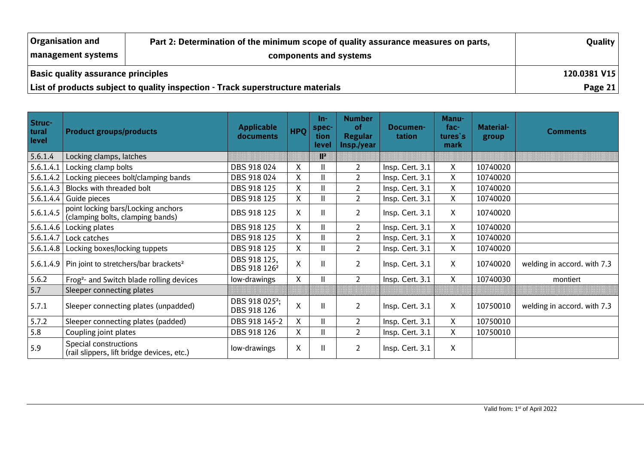| <b>Organisation and</b>                                                         | Quality                |  |
|---------------------------------------------------------------------------------|------------------------|--|
| management systems                                                              | components and systems |  |
| <b>Basic quality assurance principles</b>                                       | 120.0381 V15           |  |
| List of products subject to quality inspection - Track superstructure materials | Page 21                |  |

| Struc-<br>tural<br>level | <b>Product groups/products</b>                                         | <b>Applicable</b><br>documents            | <b>HPQ</b>         | -ln<br>spec-<br>tion<br>level | <b>Number</b><br>οf<br><b>Regular</b><br>Insp./year | Documen-<br>tation | Manu-<br>fac-<br>tures's<br>mark | <b>Material-</b><br>group | <b>Comments</b>             |
|--------------------------|------------------------------------------------------------------------|-------------------------------------------|--------------------|-------------------------------|-----------------------------------------------------|--------------------|----------------------------------|---------------------------|-----------------------------|
| 5.6.1.4                  | Locking clamps, latches                                                |                                           |                    | T.                            |                                                     |                    |                                  |                           |                             |
| 5.6.1.4.1                | Locking clamp bolts                                                    | DBS 918 024                               | X                  | Ш                             | $\overline{2}$                                      | Insp. Cert. 3.1    | X                                | 10740020                  |                             |
| 5.6.1.4.2                | Locking piecees bolt/clamping bands                                    | DBS 918 024                               | X                  | $\mathbf{II}$                 | $\overline{2}$                                      | Insp. Cert. 3.1    | $\mathsf{X}$                     | 10740020                  |                             |
| 5.6.1.4.3                | Blocks with threaded bolt                                              | DBS 918 125                               | X                  | Ш                             | $\overline{2}$                                      | Insp. Cert. 3.1    | X                                | 10740020                  |                             |
| 5.6.1.4.4                | Guide pieces                                                           | DBS 918 125                               | X                  | Ш                             | $\overline{2}$                                      | Insp. Cert. 3.1    | X                                | 10740020                  |                             |
| 5.6.1.4.5                | point locking bars/Locking anchors<br>(clamping bolts, clamping bands) | DBS 918 125                               | X                  | Ш                             | $\overline{2}$                                      | Insp. Cert. 3.1    | X                                | 10740020                  |                             |
|                          | 5.6.1.4.6   Locking plates                                             | DBS 918 125                               | X                  | Ш                             | $\overline{2}$                                      | Insp. Cert. 3.1    | X                                | 10740020                  |                             |
|                          | $5.6.1.4.7$ Lock catches                                               | DBS 918 125                               | $\mathsf{X}$       | $\mathbf{II}$                 | $\overline{2}$                                      | Insp. Cert. 3.1    | $\mathsf{X}$                     | 10740020                  |                             |
|                          | 5.6.1.4.8   Locking boxes/locking tuppets                              | DBS 918 125                               | X                  | Ш                             | $\overline{2}$                                      | Insp. Cert. 3.1    | X                                | 10740020                  |                             |
|                          | 5.6.1.4.9   Pin joint to stretchers/bar brackets <sup>2</sup>          | DBS 918 125,<br>DBS 918 126 <sup>2</sup>  | $\pmb{\mathsf{X}}$ | $\mathbf{II}$                 | $\overline{2}$                                      | Insp. Cert. 3.1    | X                                | 10740020                  | welding in accord. with 7.3 |
| 5.6.2                    | Frog <sup>2</sup> - and Switch blade rolling devices                   | low-drawings                              | X                  | Ш                             | $\overline{2}$                                      | Insp. Cert. 3.1    | X                                | 10740030                  | montiert                    |
| 5.7                      | Sleeper connecting plates                                              |                                           |                    |                               |                                                     |                    |                                  |                           |                             |
| 5.7.1                    | Sleeper connecting plates (unpadded)                                   | DBS 918 025 <sup>2</sup> ;<br>DBS 918 126 | $\mathsf{X}$       | $\mathbf{II}$                 | $\overline{2}$                                      | Insp. Cert. 3.1    | X                                | 10750010                  | welding in accord. with 7.3 |
| 5.7.2                    | Sleeper connecting plates (padded)                                     | DBS 918 145-2                             | $\mathsf{X}$       | Ш                             | $\overline{2}$                                      | Insp. Cert. 3.1    | X                                | 10750010                  |                             |
| 5.8                      | Coupling joint plates                                                  | DBS 918 126                               | X                  | Ħ                             | $\overline{2}$                                      | Insp. Cert. 3.1    | X                                | 10750010                  |                             |
| 5.9                      | Special constructions<br>(rail slippers, lift bridge devices, etc.)    | low-drawings                              | $\pmb{\mathsf{X}}$ | Ш                             | $\overline{2}$                                      | Insp. Cert. 3.1    | X                                |                           |                             |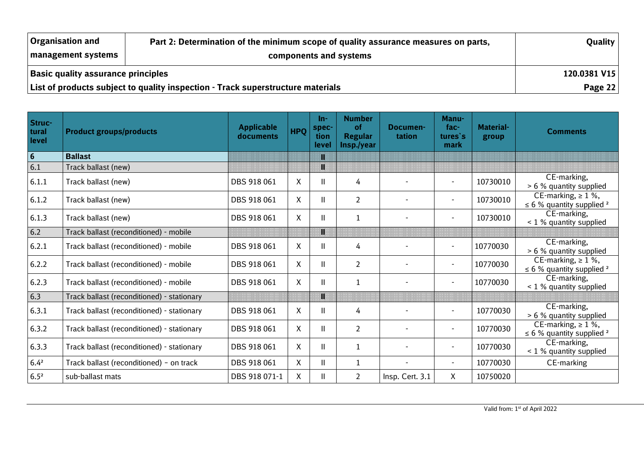| <b>Organisation and</b>                                                         | Part 2: Determination of the minimum scope of quality assurance measures on parts, | Quality |
|---------------------------------------------------------------------------------|------------------------------------------------------------------------------------|---------|
| <b>Imanagement systems</b>                                                      | components and systems                                                             |         |
| <b>Basic quality assurance principles</b>                                       | 120.0381 V15                                                                       |         |
| List of products subject to quality inspection - Track superstructure materials | Page $22$                                                                          |         |

| Struc-<br>tural<br>level | <b>Product groups/products</b>             | <b>Applicable</b><br>documents | <b>HPQ</b>   | $In-$<br>spec-<br>tion<br><b>level</b> | <b>Number</b><br>οf<br><b>Regular</b><br>Insp./year | Documen-<br>tation | Manu-<br>$fac-$<br>tures's<br>mark | <b>Material-</b><br>group | <b>Comments</b>                                                      |
|--------------------------|--------------------------------------------|--------------------------------|--------------|----------------------------------------|-----------------------------------------------------|--------------------|------------------------------------|---------------------------|----------------------------------------------------------------------|
| $6\phantom{1}6$          | <b>Ballast</b>                             |                                |              | n                                      |                                                     |                    |                                    |                           |                                                                      |
| 6.1                      | Track ballast (new)                        |                                |              | n                                      |                                                     |                    |                                    |                           |                                                                      |
| 6.1.1                    | Track ballast (new)                        | DBS 918 061                    | X            | $\mathbf{H}$                           | 4                                                   |                    | $\sim$                             | 10730010                  | CE-marking,<br>> 6 % quantity supplied                               |
| 6.1.2                    | Track ballast (new)                        | DBS 918 061                    | X            | $\mathbf{I}$                           | $\overline{2}$                                      |                    | $\sim$                             | 10730010                  | CE-marking, $\geq 1$ %,<br>$\leq$ 6 % quantity supplied <sup>2</sup> |
| 6.1.3                    | Track ballast (new)                        | DBS 918 061                    | $\mathsf{X}$ | $\mathbf{H}$                           | $\mathbf{1}$                                        |                    | $\overline{\phantom{a}}$           | 10730010                  | CE-marking,<br>< 1 % quantity supplied                               |
| $6.2$                    | Track ballast (reconditioned) - mobile     |                                |              | Π                                      |                                                     |                    |                                    |                           |                                                                      |
| 6.2.1                    | Track ballast (reconditioned) - mobile     | DBS 918 061                    | X            | $\mathbf{H}$                           | 4                                                   |                    | $\sim$                             | 10770030                  | CE-marking,<br>> 6 % quantity supplied                               |
| 6.2.2                    | Track ballast (reconditioned) - mobile     | DBS 918 061                    | X            | $\mathbf{H}$                           | $\overline{2}$                                      |                    | $\blacksquare$                     | 10770030                  | CE-marking, $\geq 1$ %,<br>$\leq$ 6 % quantity supplied <sup>2</sup> |
| 6.2.3                    | Track ballast (reconditioned) - mobile     | DBS 918 061                    | $\mathsf{X}$ | $\mathbf{H}$                           | $\mathbf{1}$                                        |                    | $\blacksquare$                     | 10770030                  | CE-marking,<br>< 1 % quantity supplied                               |
| 6.3                      | Track ballast (reconditioned) - stationary |                                |              | Π                                      |                                                     |                    |                                    |                           |                                                                      |
| 6.3.1                    | Track ballast (reconditioned) - stationary | DBS 918 061                    | X            | $\mathbf{H}$                           | 4                                                   |                    | $\blacksquare$                     | 10770030                  | CE-marking,<br>> 6 % quantity supplied                               |
| 6.3.2                    | Track ballast (reconditioned) - stationary | DBS 918 061                    | X            | $\mathbf{I}$                           | $\overline{2}$                                      |                    | $\overline{\phantom{a}}$           | 10770030                  | CE-marking, $\geq 1$ %,<br>$\leq$ 6 % quantity supplied <sup>2</sup> |
| 6.3.3                    | Track ballast (reconditioned) - stationary | DBS 918 061                    | X            | $\mathbf{H}$                           | 1                                                   |                    | $\overline{\phantom{a}}$           | 10770030                  | CE-marking,<br>< 1 % quantity supplied                               |
| $6.4^{2}$                | Track ballast (reconditioned) - on track   | DBS 918 061                    | $\mathsf{X}$ | $\mathbf{II}$                          | $\mathbf{1}$                                        |                    | $\sim$                             | 10770030                  | CE-marking                                                           |
| $6.5^{2}$                | sub-ballast mats                           | DBS 918 071-1                  | X            | $\mathbf{H}$                           | $\overline{2}$                                      | Insp. Cert. 3.1    | X                                  | 10750020                  |                                                                      |